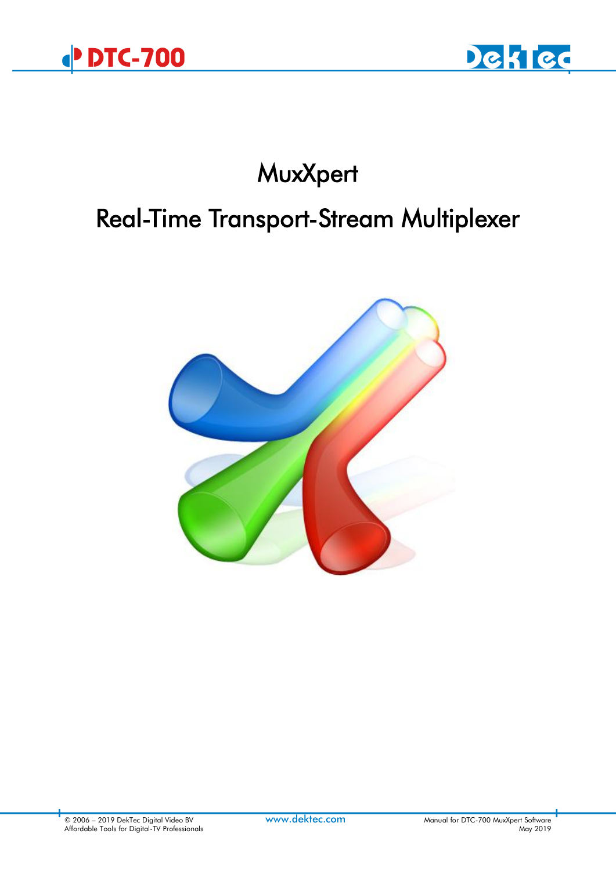



# **MuxXpert**

# Real-Time Transport-Stream Multiplexer

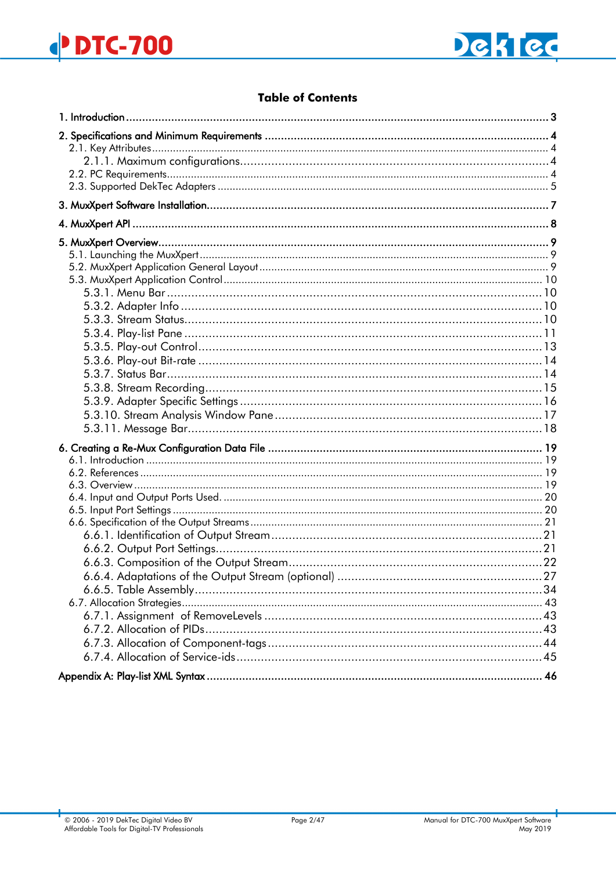

# **Table of Contents**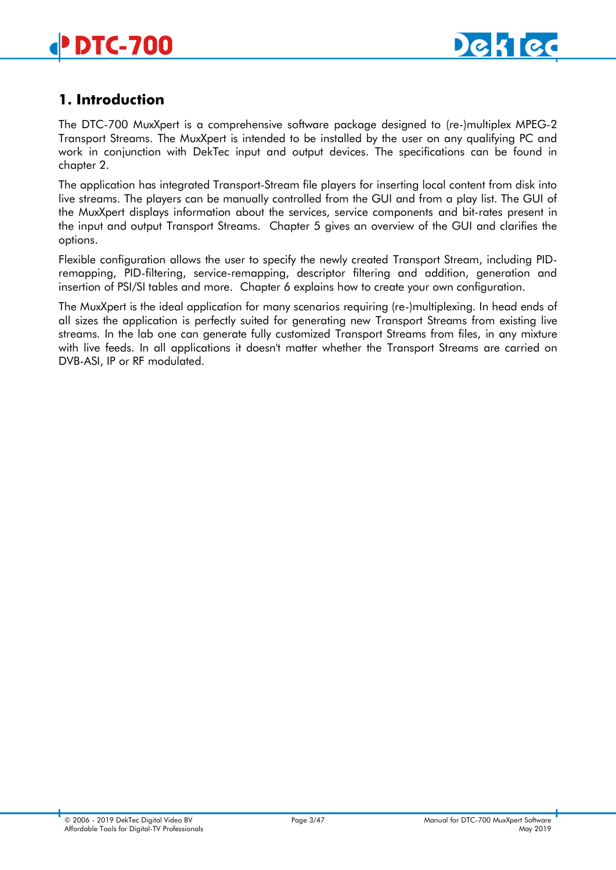

# <span id="page-2-0"></span>**1. Introduction**

The DTC-700 MuxXpert is a comprehensive software package designed to (re-)multiplex MPEG-2 Transport Streams. The MuxXpert is intended to be installed by the user on any qualifying PC and work in conjunction with DekTec input and output devices. The specifications can be found in chapter [2.](#page-3-0)

The application has integrated Transport-Stream file players for inserting local content from disk into live streams. The players can be manually controlled from the GUI and from a play list. The GUI of the MuxXpert displays information about the services, service components and bit-rates present in the input and output Transport Streams. Chapter [5](#page-8-0) gives an overview of the GUI and clarifies the options.

Flexible configuration allows the user to specify the newly created Transport Stream, including PIDremapping, PID-filtering, service-remapping, descriptor filtering and addition, generation and insertion of PSI/SI tables and more. Chapter [6](#page-18-0) explains how to create your own configuration.

The MuxXpert is the ideal application for many scenarios requiring (re-)multiplexing. In head ends of all sizes the application is perfectly suited for generating new Transport Streams from existing live streams. In the lab one can generate fully customized Transport Streams from files, in any mixture with live feeds. In all applications it doesn't matter whether the Transport Streams are carried on DVB-ASI, IP or RF modulated.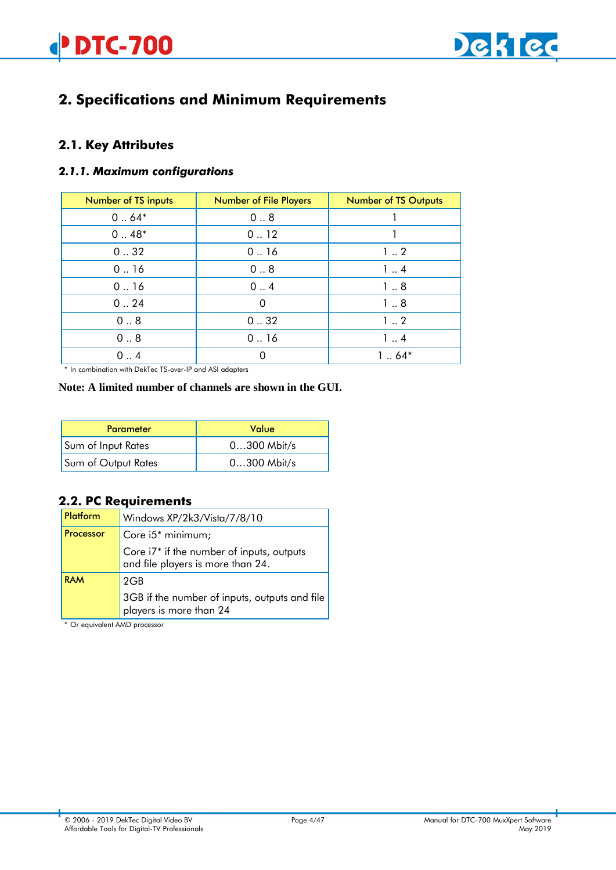

# <span id="page-3-4"></span><span id="page-3-0"></span>**2. Specifications and Minimum Requirements**

# <span id="page-3-1"></span>**2.1. Key Attributes**

#### <span id="page-3-2"></span>*2.1.1. Maximum configurations*

| Number of TS inputs | <b>Number of File Players</b> | <b>Number of TS Outputs</b> |
|---------------------|-------------------------------|-----------------------------|
| $064*$              | 0.8                           |                             |
| $0.48*$             | 0.12                          |                             |
| 0.32                | 0.16                          | 12                          |
| 0.16                | 0.8                           | 14                          |
| 0.16                | 0.4                           | 18                          |
| 0.24                | $\Omega$                      | 18                          |
| 0.8                 | 0.32                          | 12                          |
| 0.8                 | 0.16                          | 14                          |
| 0.4                 | 0                             | $164*$                      |

\* In combination with DekTec TS-over-IP and ASI adapters

#### **Note: A limited number of channels are shown in the GUI.**

| <b>Parameter</b>    | Value         |
|---------------------|---------------|
| Sum of Input Rates  | $0300$ Mbit/s |
| Sum of Output Rates | $0300$ Mbit/s |

# <span id="page-3-3"></span>**2.2. PC Requirements**

| Platform   | Windows XP/2k3/Vista/7/8/10                                                                |
|------------|--------------------------------------------------------------------------------------------|
| Processor  | Core $i5^*$ minimum;                                                                       |
|            | Core i7 <sup>*</sup> if the number of inputs, outputs<br>and file players is more than 24. |
| <b>RAM</b> | 2GB                                                                                        |
|            | 3GB if the number of inputs, outputs and file<br>players is more than 24                   |

\* Or equivalent AMD processor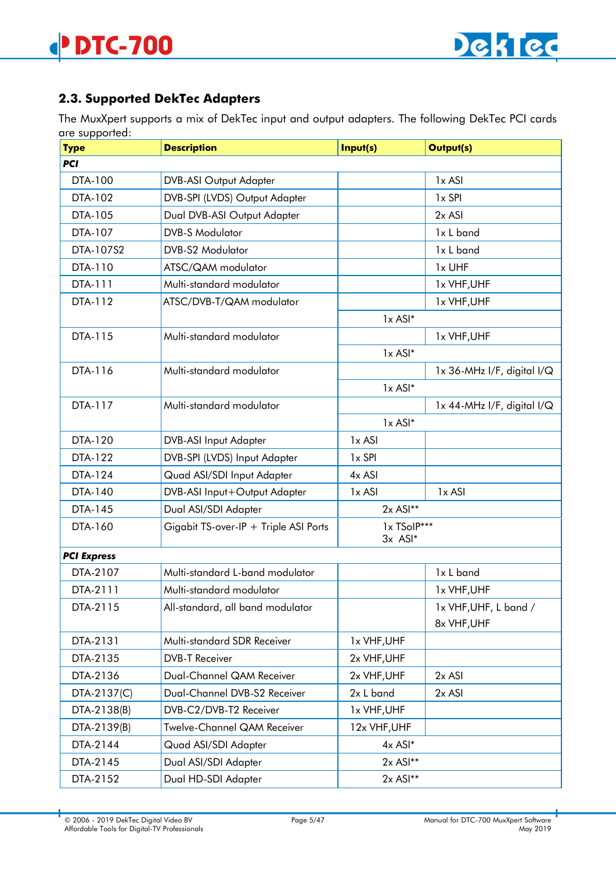# **2.3. Supported DekTec Adapters**

The MuxXpert supports a mix of DekTec input and output adapters. The following DekTec PCI cards are supported:

| <b>Type</b>        | - - - - - - -<br><b>Description</b><br>Input(s)<br><b>Output(s)</b> |                          |                            |
|--------------------|---------------------------------------------------------------------|--------------------------|----------------------------|
| <b>PCI</b>         |                                                                     |                          |                            |
| DTA-100            | <b>DVB-ASI Output Adapter</b>                                       |                          | 1x ASI                     |
| DTA-102            | DVB-SPI (LVDS) Output Adapter                                       | 1x SPI                   |                            |
| DTA-105            | Dual DVB-ASI Output Adapter                                         |                          | 2x ASI                     |
| DTA-107            | <b>DVB-S Modulator</b>                                              |                          | 1x L band                  |
| DTA-107S2          | <b>DVB-S2 Modulator</b>                                             |                          | 1x L band                  |
| DTA-110            | ATSC/QAM modulator                                                  |                          | 1x UHF                     |
| DTA-111            | Multi-standard modulator                                            |                          | 1x VHF, UHF                |
| DTA-112            | ATSC/DVB-T/QAM modulator                                            |                          | 1x VHF, UHF                |
|                    |                                                                     | $1x$ ASI $*$             |                            |
| DTA-115            | Multi-standard modulator                                            |                          | 1x VHF, UHF                |
|                    |                                                                     | $1x$ ASI $*$             |                            |
| DTA-116            | Multi-standard modulator                                            |                          | 1x 36-MHz I/F, digital I/Q |
|                    |                                                                     | $1x$ ASI $*$             |                            |
| DTA-117            | Multi-standard modulator                                            |                          | 1x 44-MHz I/F, digital I/Q |
|                    |                                                                     | $1x$ ASI $*$             |                            |
| DTA-120            | DVB-ASI Input Adapter                                               | 1x ASI                   |                            |
| DTA-122            | DVB-SPI (LVDS) Input Adapter                                        | 1x SPI                   |                            |
| DTA-124            | Quad ASI/SDI Input Adapter                                          | 4x ASI                   |                            |
| DTA-140            | DVB-ASI Input+Output Adapter                                        | $1x$ ASI                 | $1x$ ASI                   |
| DTA-145            | Dual ASI/SDI Adapter                                                | $2x$ ASI**               |                            |
| DTA-160            | Gigabit TS-over-IP + Triple ASI Ports                               | 1x TSoIP***<br>$3x$ ASI* |                            |
| <b>PCI Express</b> |                                                                     |                          |                            |
| DTA-2107           | Multi-standard L-band modulator                                     |                          | 1x L band                  |
| DTA-2111           | Multi-standard modulator                                            |                          | 1x VHF, UHF                |
| DTA-2115           | All-standard, all band modulator                                    |                          | 1x VHF, UHF, L band /      |
|                    |                                                                     |                          | 8x VHF, UHF                |
| DTA-2131           | Multi-standard SDR Receiver                                         | 1x VHF, UHF              |                            |
| DTA-2135           | <b>DVB-T Receiver</b>                                               | 2x VHF, UHF              |                            |
| DTA-2136           | Dual-Channel QAM Receiver                                           | 2x VHF, UHF              | $2x$ ASI                   |
| DTA-2137(C)        | Dual-Channel DVB-S2 Receiver                                        | 2x L band                | $2x$ ASI                   |
| DTA-2138(B)        | DVB-C2/DVB-T2 Receiver                                              | 1x VHF, UHF              |                            |
| DTA-2139(B)        | Twelve-Channel QAM Receiver                                         | 12x VHF, UHF             |                            |
| DTA-2144           | Quad ASI/SDI Adapter                                                | $4x$ ASI*                |                            |
| DTA-2145           | Dual ASI/SDI Adapter                                                | $2x$ ASI**               |                            |
| DTA-2152           | Dual HD-SDI Adapter                                                 | $2x$ ASI**               |                            |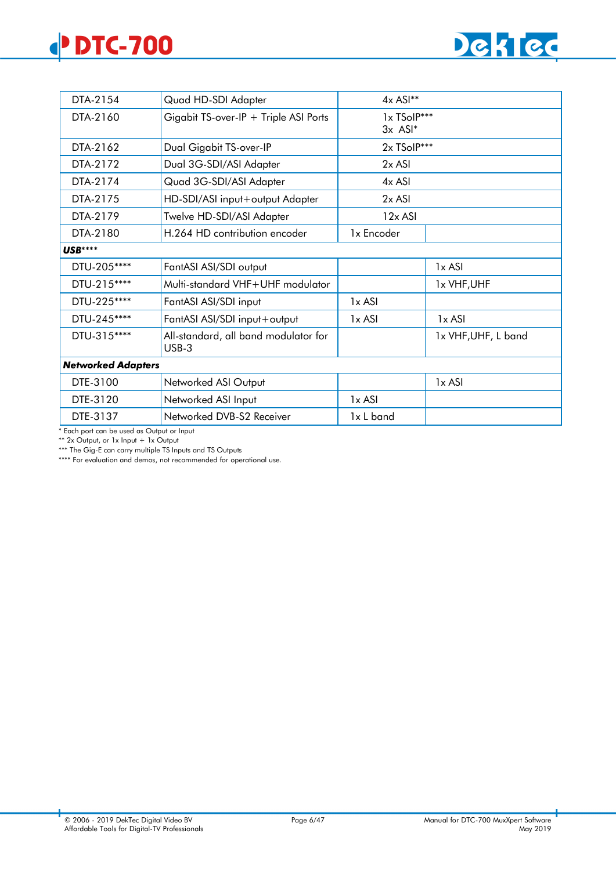# **DTC-700**



| DTA-2154                                                       | Quad HD-SDI Adapter                   | $4x$ ASI**               |                     |
|----------------------------------------------------------------|---------------------------------------|--------------------------|---------------------|
| DTA-2160                                                       | Gigabit TS-over-IP + Triple ASI Ports | 1x TSolP***<br>$3x$ ASI* |                     |
| DTA-2162                                                       | Dual Gigabit TS-over-IP               | 2x TSolP***              |                     |
| DTA-2172                                                       | Dual 3G-SDI/ASI Adapter               | $2x$ ASI                 |                     |
| DTA-2174                                                       | Quad 3G-SDI/ASI Adapter               | 4x ASI                   |                     |
| DTA-2175                                                       | HD-SDI/ASI input+output Adapter       | 2x ASI                   |                     |
| DTA-2179                                                       | Twelve HD-SDI/ASI Adapter             | $12x$ ASI                |                     |
| DTA-2180                                                       | H.264 HD contribution encoder         | 1x Encoder               |                     |
| <b>USB****</b>                                                 |                                       |                          |                     |
| DTU-205****                                                    | FantASI ASI/SDI output<br>1x ASI      |                          |                     |
| DTU-215****                                                    | Multi-standard VHF+UHF modulator      | 1x VHF, UHF              |                     |
| DTU-225 ****                                                   | FantASI ASI/SDI input                 | $1x$ ASI                 |                     |
| DTU-245****                                                    | FantASI ASI/SDI input+output          | $1x$ ASI                 | 1x ASI              |
| DTU-315****<br>All-standard, all band modulator for<br>$USB-3$ |                                       |                          | 1x VHF, UHF, L band |
| <b>Networked Adapters</b>                                      |                                       |                          |                     |
| DTE-3100                                                       | Networked ASI Output                  |                          | 1x ASI              |
| DTE-3120                                                       | Networked ASI Input                   | $1x$ ASI                 |                     |
| DTE-3137                                                       | Networked DVB-S2 Receiver             | 1x L band                |                     |

\* Each port can be used as Output or Input

\*\* 2x Output, or 1x Input + 1x Output

\*\*\* The Gig-E can carry multiple TS Inputs and TS Outputs

\*\*\*\* For evaluation and demos, not recommended for operational use.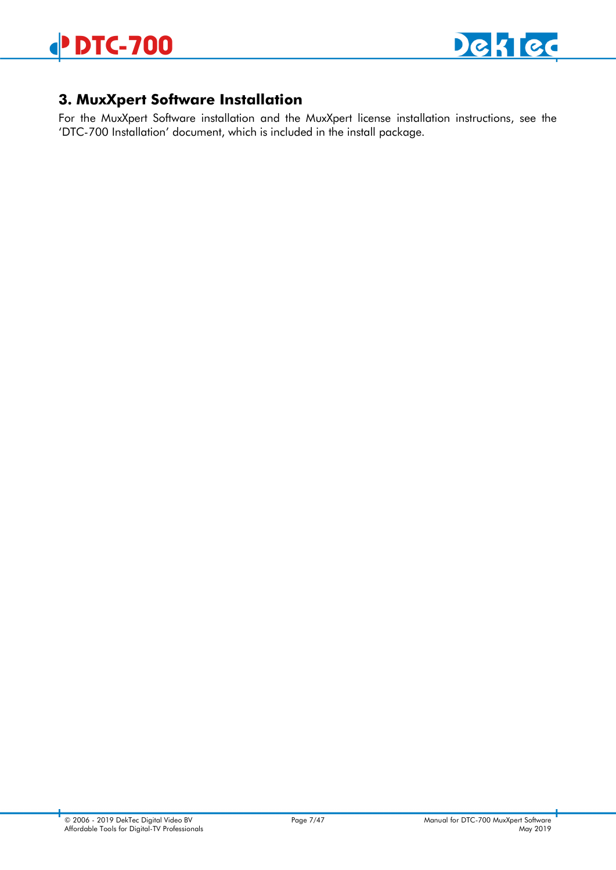

# <span id="page-6-0"></span>**3. MuxXpert Software Installation**

For the MuxXpert Software installation and the MuxXpert license installation instructions, see the 'DTC-700 Installation' document, which is included in the install package.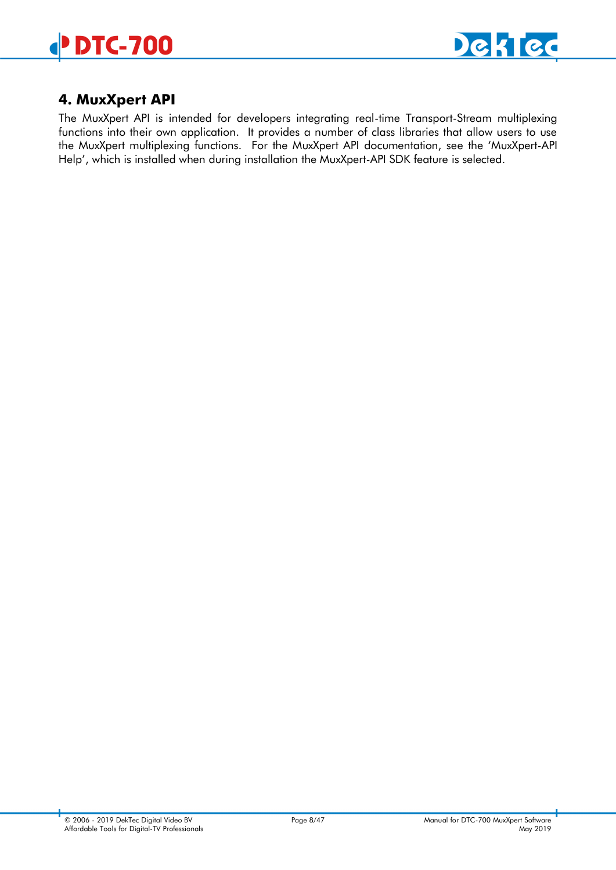

# <span id="page-7-0"></span>**4. MuxXpert API**

The MuxXpert API is intended for developers integrating real-time Transport-Stream multiplexing functions into their own application. It provides a number of class libraries that allow users to use the MuxXpert multiplexing functions. For the MuxXpert API documentation, see the 'MuxXpert-API Help', which is installed when during installation the MuxXpert-API SDK feature is selected.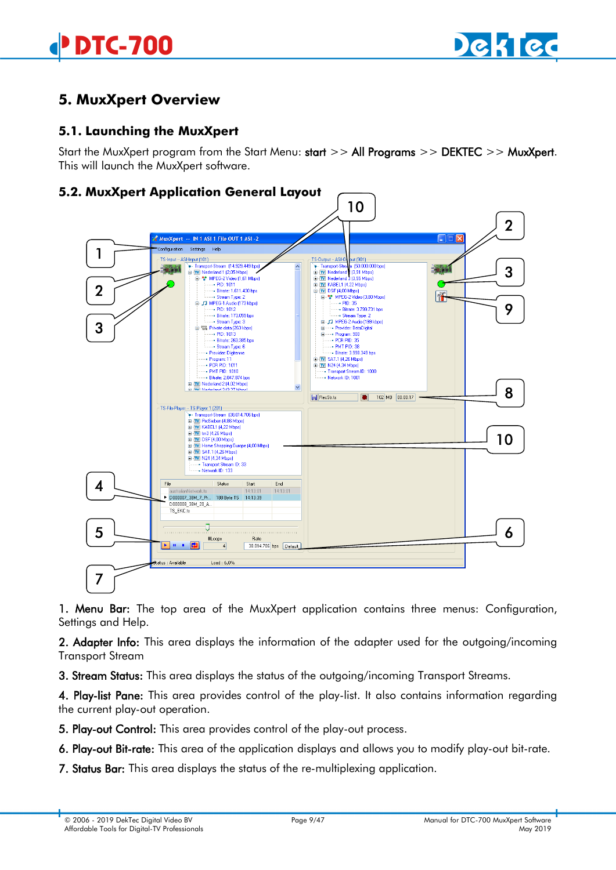

# <span id="page-8-0"></span>**5. MuxXpert Overview**

# <span id="page-8-1"></span>**5.1. Launching the MuxXpert**

Start the MuxXpert program from the Start Menu: start >> All Programs >> DEKTEC >> MuxXpert. This will launch the MuxXpert software.

# <span id="page-8-2"></span>**5.2. MuxXpert Application General Layout**



1. Menu Bar: The top area of the MuxXpert application contains three menus: Configuration, Settings and Help.

2. Adapter Info: This area displays the information of the adapter used for the outgoing/incoming Transport Stream

3. Stream Status: This area displays the status of the outgoing/incoming Transport Streams.

4. Play-list Pane: This area provides control of the play-list. It also contains information regarding the current play-out operation.

5. Play-out Control: This area provides control of the play-out process.

6. Play-out Bit-rate: This area of the application displays and allows you to modify play-out bit-rate.

7. Status Bar: This area displays the status of the re-multiplexing application.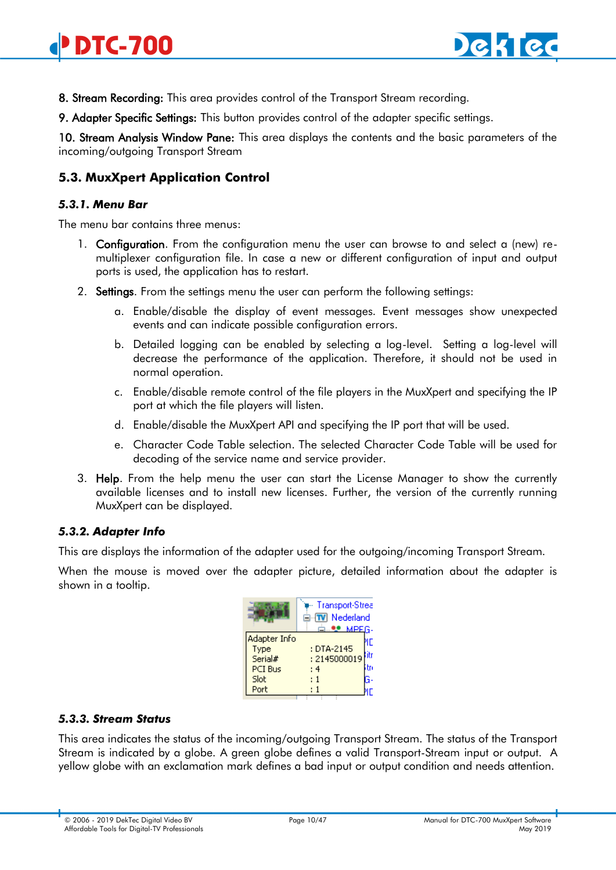

8. Stream Recording: This area provides control of the Transport Stream recording.

9. Adapter Specific Settings: This button provides control of the adapter specific settings.

10. Stream Analysis Window Pane: This area displays the contents and the basic parameters of the incoming/outgoing Transport Stream

# <span id="page-9-0"></span>**5.3. MuxXpert Application Control**

#### <span id="page-9-1"></span>*5.3.1. Menu Bar*

The menu bar contains three menus:

- 1. **Configuration**. From the configuration menu the user can browse to and select a (new) remultiplexer configuration file. In case a new or different configuration of input and output ports is used, the application has to restart.
- 2. Settings. From the settings menu the user can perform the following settings:
	- a. Enable/disable the display of event messages. Event messages show unexpected events and can indicate possible configuration errors.
	- b. Detailed logging can be enabled by selecting a log-level. Setting a log-level will decrease the performance of the application. Therefore, it should not be used in normal operation.
	- c. Enable/disable remote control of the file players in the MuxXpert and specifying the IP port at which the file players will listen.
	- d. Enable/disable the MuxXpert API and specifying the IP port that will be used.
	- e. Character Code Table selection. The selected Character Code Table will be used for decoding of the service name and service provider.
- 3. Help. From the help menu the user can start the License Manager to show the currently available licenses and to install new licenses. Further, the version of the currently running MuxXpert can be displayed.

#### <span id="page-9-2"></span>*5.3.2. Adapter Info*

This are displays the information of the adapter used for the outgoing/incoming Transport Stream.

When the mouse is moved over the adapter picture, detailed information about the adapter is shown in a tooltip.

|                                                            | Transport-Stree<br><b>⊟</b> ™ Nederland<br>d…❤ MPEG- |  |
|------------------------------------------------------------|------------------------------------------------------|--|
| Adapter Info<br>Type<br>Serial#<br>PCI Bus<br>Slot<br>Port | : DTA-2145<br>: 2145000019<br>: 4<br>: 1             |  |

#### <span id="page-9-3"></span>*5.3.3. Stream Status*

This area indicates the status of the incoming/outgoing Transport Stream. The status of the Transport Stream is indicated by a globe. A green globe defines a valid Transport-Stream input or output. A yellow globe with an exclamation mark defines a bad input or output condition and needs attention.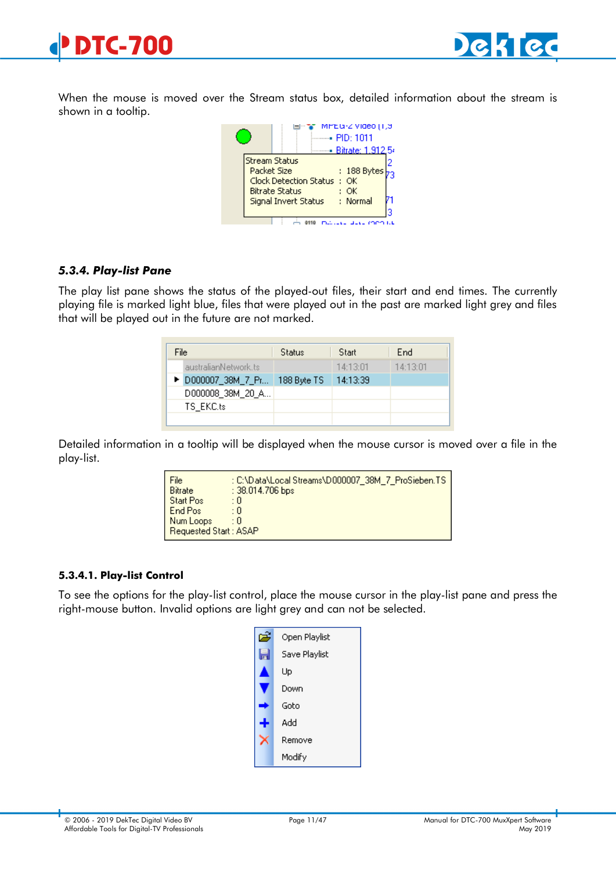

When the mouse is moved over the Stream status box, detailed information about the stream is shown in a tooltip.



#### <span id="page-10-0"></span>*5.3.4. Play-list Pane*

The play list pane shows the status of the played-out files, their start and end times. The currently playing file is marked light blue, files that were played out in the past are marked light grey and files that will be played out in the future are not marked.

| File                 | Status      | Start    | End      |
|----------------------|-------------|----------|----------|
| australianNetwork.ts |             | 14:13:01 | 14:13:01 |
| ▶ D000007_38M_7_Pr   | 188 Byte TS | 14:13:39 |          |
| D000008_38M_20_A     |             |          |          |
| TS EKC.ts            |             |          |          |
|                      |             |          |          |

Detailed information in a tooltip will be displayed when the mouse cursor is moved over a file in the play-list.

| File<br><b>Bitrate</b> | : C:\Data\Local Streams\D000007_38M_7_ProSieben.TS  <br>$: 38.014.706$ bps |
|------------------------|----------------------------------------------------------------------------|
| <b>Start Pos</b>       | : 0                                                                        |
| End Pos                | : 0                                                                        |
| Num Loops              | : 0                                                                        |
| Requested Start: ASAP  |                                                                            |

#### **5.3.4.1. Play-list Control**

To see the options for the play-list control, place the mouse cursor in the play-list pane and press the right-mouse button. Invalid options are light grey and can not be selected.

| Open Playlist |
|---------------|
| Save Playlist |
| Up            |
| Down          |
| Goto          |
| hhA           |
| Remove        |
| Modify        |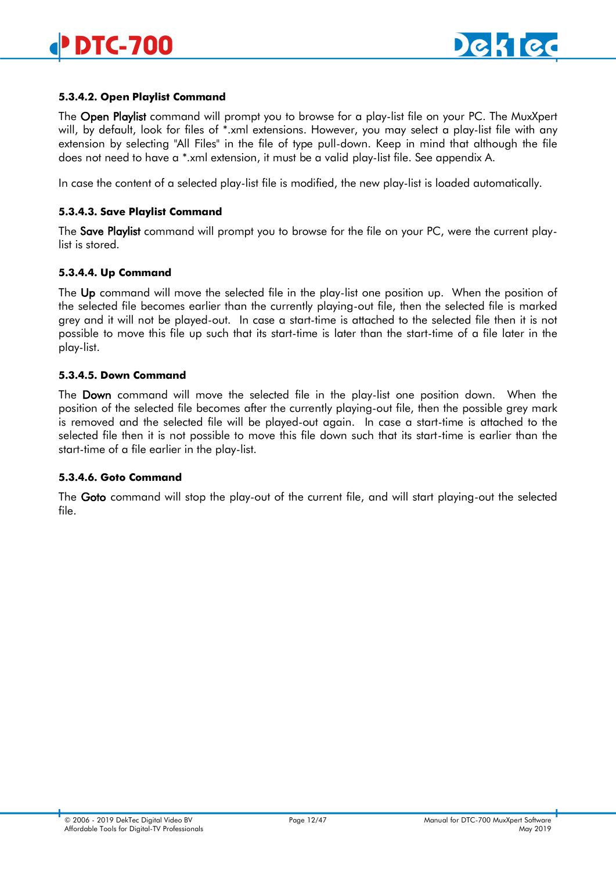#### **5.3.4.2. Open Playlist Command**

The Open Playlist command will prompt you to browse for a play-list file on your PC. The MuxXpert will, by default, look for files of \*.xml extensions. However, you may select a play-list file with any extension by selecting "All Files" in the file of type pull-down. Keep in mind that although the file does not need to have a \*.xml extension, it must be a valid play-list file. See appendix A.

In case the content of a selected play-list file is modified, the new play-list is loaded automatically.

#### **5.3.4.3. Save Playlist Command**

The Save Playlist command will prompt you to browse for the file on your PC, were the current playlist is stored.

#### **5.3.4.4. Up Command**

The Up command will move the selected file in the play-list one position up. When the position of the selected file becomes earlier than the currently playing-out file, then the selected file is marked grey and it will not be played-out. In case a start-time is attached to the selected file then it is not possible to move this file up such that its start-time is later than the start-time of a file later in the play-list.

#### **5.3.4.5. Down Command**

The Down command will move the selected file in the play-list one position down. When the position of the selected file becomes after the currently playing-out file, then the possible grey mark is removed and the selected file will be played-out again. In case a start-time is attached to the selected file then it is not possible to move this file down such that its start-time is earlier than the start-time of a file earlier in the play-list.

#### **5.3.4.6. Goto Command**

The Goto command will stop the play-out of the current file, and will start playing-out the selected file.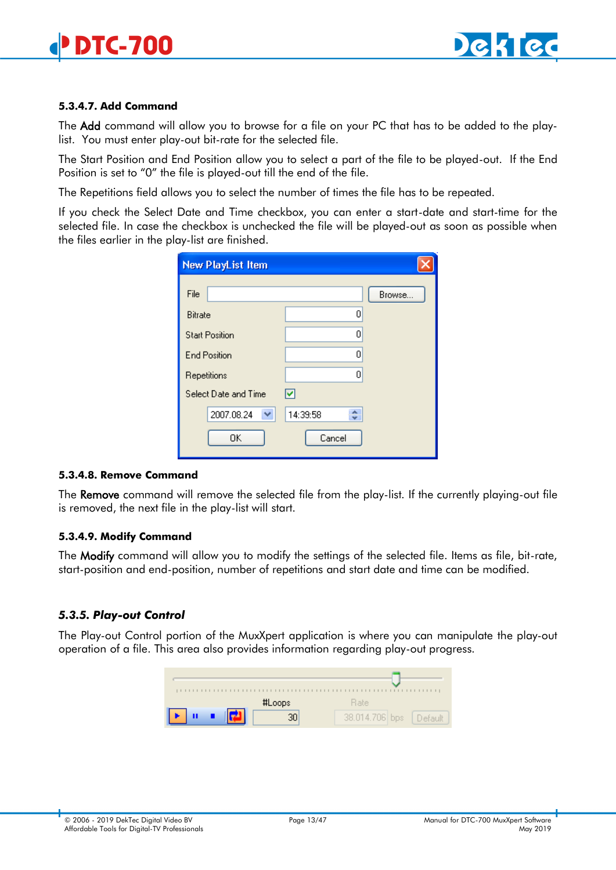#### **5.3.4.7. Add Command**

The Add command will allow you to browse for a file on your PC that has to be added to the playlist. You must enter play-out bit-rate for the selected file.

The Start Position and End Position allow you to select a part of the file to be played-out. If the End Position is set to "0" the file is played-out till the end of the file.

The Repetitions field allows you to select the number of times the file has to be repeated.

If you check the Select Date and Time checkbox, you can enter a start-date and start-time for the selected file. In case the checkbox is unchecked the file will be played-out as soon as possible when the files earlier in the play-list are finished.

| <b>New PlayList Item</b> |               |
|--------------------------|---------------|
| File                     | Browse        |
| <b>Bitrate</b>           | ٥             |
| <b>Start Position</b>    | 0             |
| <b>End Position</b>      | 0             |
| Repetitions              | 0             |
| Select Date and Time     | M             |
| 2007.08.24<br>v.         | ٠<br>14:39:58 |
| OΚ                       | Cancel        |

#### **5.3.4.8. Remove Command**

The Remove command will remove the selected file from the play-list. If the currently playing-out file is removed, the next file in the play-list will start.

#### **5.3.4.9. Modify Command**

The Modify command will allow you to modify the settings of the selected file. Items as file, bit-rate, start-position and end-position, number of repetitions and start date and time can be modified.

#### <span id="page-12-0"></span>*5.3.5. Play-out Control*

The Play-out Control portion of the MuxXpert application is where you can manipulate the play-out operation of a file. This area also provides information regarding play-out progress.

| #Loops | <b>Bate</b>             |
|--------|-------------------------|
|        | 38.014.706 bps<br>Defau |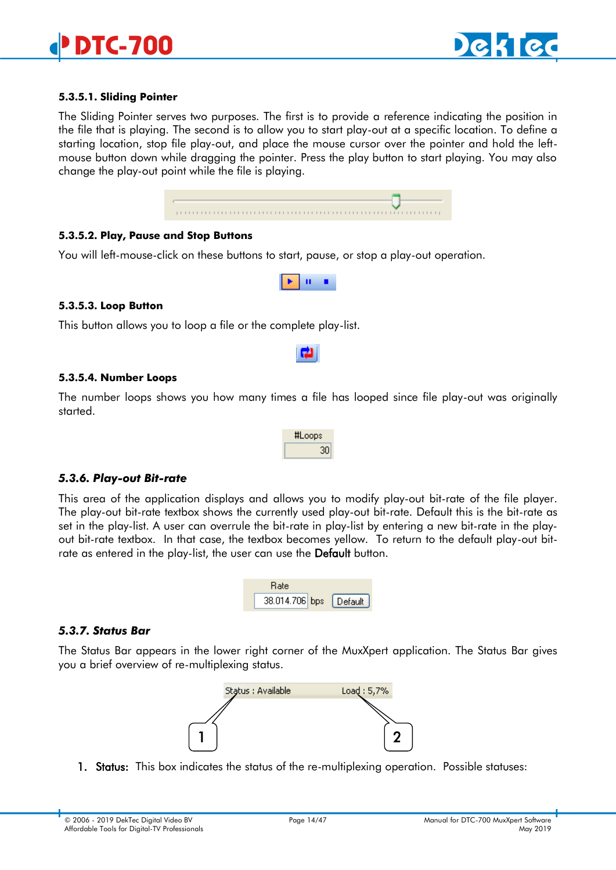

#### **5.3.5.1. Sliding Pointer**

The Sliding Pointer serves two purposes. The first is to provide a reference indicating the position in the file that is playing. The second is to allow you to start play-out at a specific location. To define a starting location, stop file play-out, and place the mouse cursor over the pointer and hold the leftmouse button down while dragging the pointer. Press the play button to start playing. You may also change the play-out point while the file is playing.

#### **5.3.5.2. Play, Pause and Stop Buttons**

You will left-mouse-click on these buttons to start, pause, or stop a play-out operation.



#### **5.3.5.3. Loop Button**

This button allows you to loop a file or the complete play-list.

#### **5.3.5.4. Number Loops**

The number loops shows you how many times a file has looped since file play-out was originally started.

| #Loops |
|--------|
| 30     |

#### <span id="page-13-0"></span>*5.3.6. Play-out Bit-rate*

This area of the application displays and allows you to modify play-out bit-rate of the file player. The play-out bit-rate textbox shows the currently used play-out bit-rate. Default this is the bit-rate as set in the play-list. A user can overrule the bit-rate in play-list by entering a new bit-rate in the playout bit-rate textbox. In that case, the textbox becomes yellow. To return to the default play-out bitrate as entered in the play-list, the user can use the **Default** button.



#### <span id="page-13-1"></span>*5.3.7. Status Bar*

The Status Bar appears in the lower right corner of the MuxXpert application. The Status Bar gives you a brief overview of re-multiplexing status.



1. Status: This box indicates the status of the re-multiplexing operation. Possible statuses: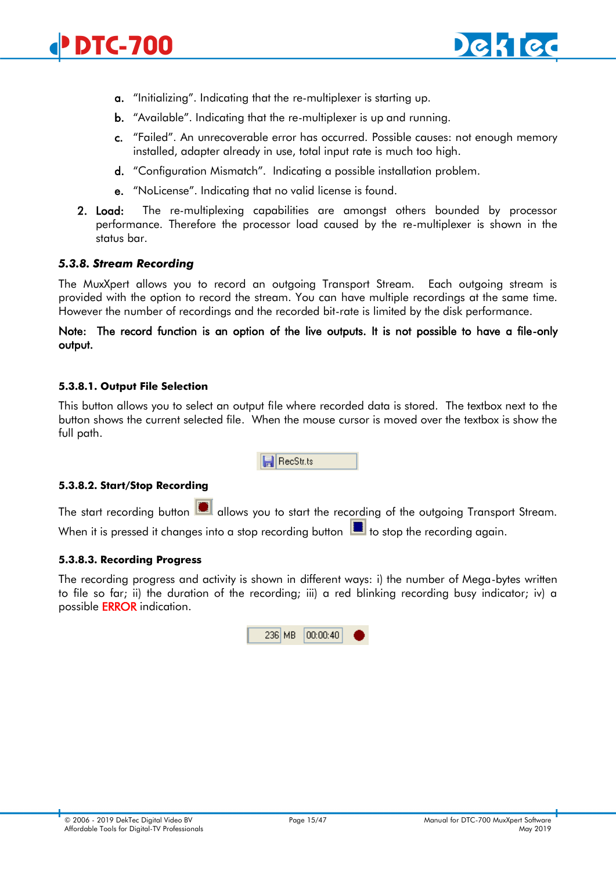

- <span id="page-14-1"></span>a. "Initializing". Indicating that the re-multiplexer is starting up.
- b. "Available". Indicating that the re-multiplexer is up and running.
- c. "Failed". An unrecoverable error has occurred. Possible causes: not enough memory installed, adapter already in use, total input rate is much too high.
- d. "Configuration Mismatch". Indicating a possible installation problem.
- e. "NoLicense". Indicating that no valid license is found.
- 2. Load: The re-multiplexing capabilities are amongst others bounded by processor performance. Therefore the processor load caused by the re-multiplexer is shown in the status bar.

#### <span id="page-14-0"></span>*5.3.8. Stream Recording*

The MuxXpert allows you to record an outgoing Transport Stream. Each outgoing stream is provided with the option to record the stream. You can have multiple recordings at the same time. However the number of recordings and the recorded bit-rate is limited by the disk performance.

#### Note: The record function is an option of the live outputs. It is not possible to have a file-only output.

#### **5.3.8.1. Output File Selection**

This button allows you to select an output file where recorded data is stored. The textbox next to the button shows the current selected file. When the mouse cursor is moved over the textbox is show the full path.

**日** RecStr.ts

#### **5.3.8.2. Start/Stop Recording**

The start recording button **1** allows you to start the recording of the outgoing Transport Stream. When it is pressed it changes into a stop recording button  $\Box$  to stop the recording again.

#### **5.3.8.3. Recording Progress**

The recording progress and activity is shown in different ways: i) the number of Mega-bytes written to file so far; ii) the duration of the recording; iii) a red blinking recording busy indicator; iv) a possible ERROR indication.

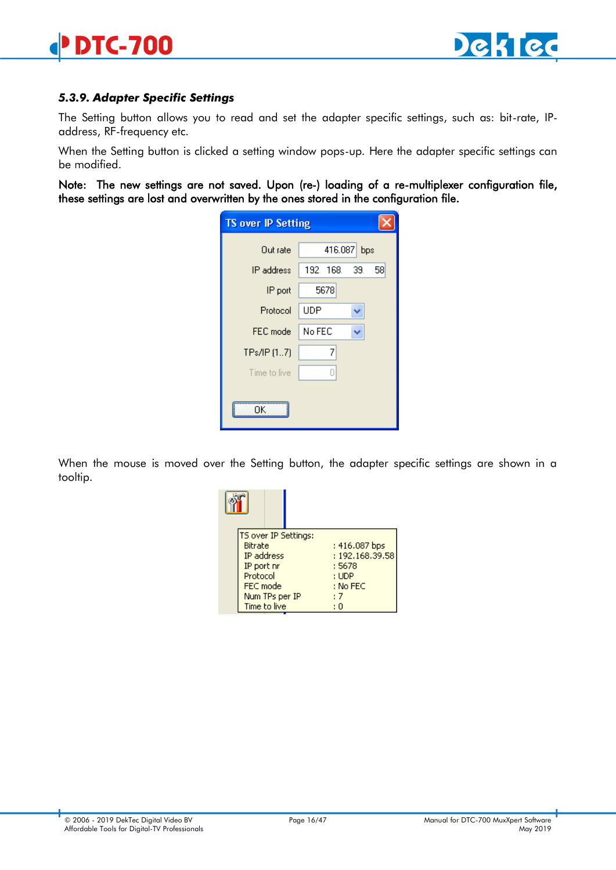### <span id="page-15-0"></span>*5.3.9. Adapter Specific Settings*

The Setting button allows you to read and set the adapter specific settings, such as: bit-rate, IPaddress, RF-frequency etc.

When the Setting button is clicked a setting window pops-up. Here the adapter specific settings can be modified.

Note: The new settings are not saved. Upon (re-) loading of a re-multiplexer configuration file, these settings are lost and overwritten by the ones stored in the configuration file.

| <b>TS over IP Setting</b> |                |   |  |    |
|---------------------------|----------------|---|--|----|
| Out rate                  | 416.087<br>bps |   |  |    |
| IP address                | 192. 168. 39.  |   |  | 58 |
| IP port                   | 5678           |   |  |    |
| Protocol                  | <b>UDP</b>     |   |  |    |
| FEC mode                  | No FEC         |   |  |    |
| TPs/IP (17)               |                | 7 |  |    |
| Time to live              |                | П |  |    |
|                           |                |   |  |    |

When the mouse is moved over the Setting button, the adapter specific settings are shown in a tooltip.

| TS over IP Settings:<br>Bitrate<br>IP address<br>IP port nr<br>Protocol<br>FEC mode | : 416.087 bps<br>: 192.168.39.58<br>: 5678<br>: UDP<br>: No FEC |
|-------------------------------------------------------------------------------------|-----------------------------------------------------------------|
| Num TPs per IP<br>Time to live                                                      | : 7                                                             |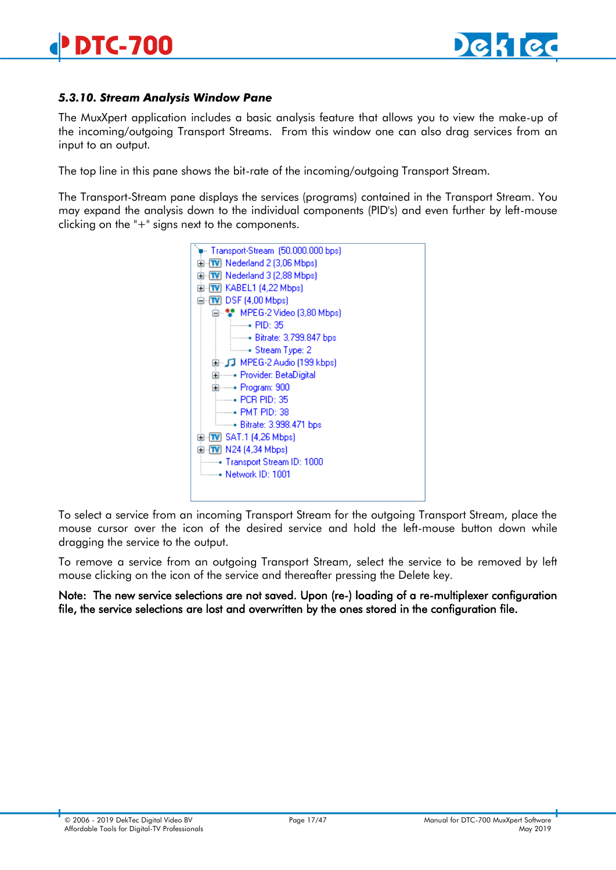### <span id="page-16-0"></span>*5.3.10. Stream Analysis Window Pane*

The MuxXpert application includes a basic analysis feature that allows you to view the make-up of the incoming/outgoing Transport Streams. From this window one can also drag services from an input to an output.

The top line in this pane shows the bit-rate of the incoming/outgoing Transport Stream.

The Transport-Stream pane displays the services (programs) contained in the Transport Stream. You may expand the analysis down to the individual components (PID's) and even further by left-mouse clicking on the "+" signs next to the components.



To select a service from an incoming Transport Stream for the outgoing Transport Stream, place the mouse cursor over the icon of the desired service and hold the left-mouse button down while dragging the service to the output.

To remove a service from an outgoing Transport Stream, select the service to be removed by left mouse clicking on the icon of the service and thereafter pressing the Delete key.

Note: The new service selections are not saved. Upon (re-) loading of a re-multiplexer configuration file, the service selections are lost and overwritten by the ones stored in the configuration file.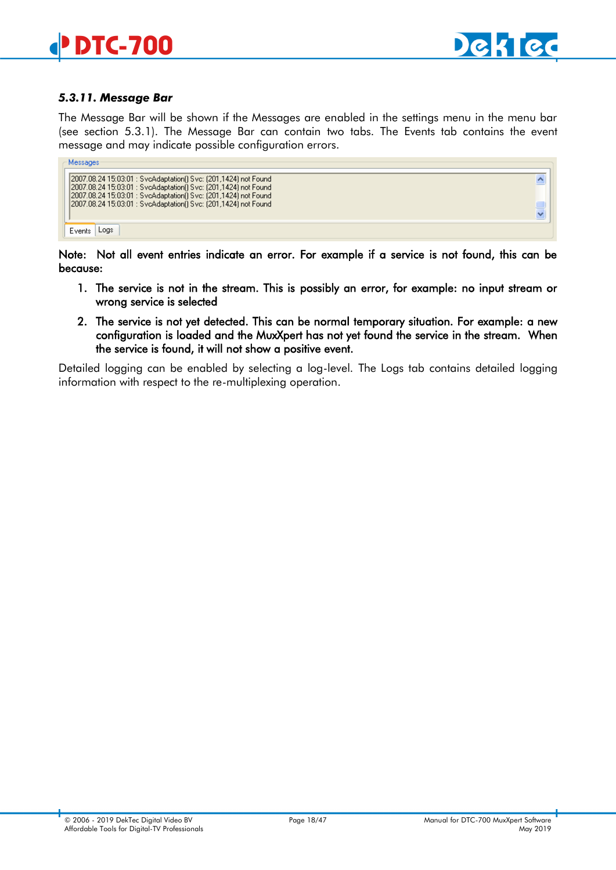

#### *5.3.11. Message Bar*

The Message Bar will be shown if the Messages are enabled in the settings menu in the menu bar (see section [5.3.1\)](#page-9-1). The Message Bar can contain two tabs. The Events tab contains the event message and may indicate possible configuration errors.

| Messages                                                                                                                                                                                                                                                                     |                    |  |
|------------------------------------------------------------------------------------------------------------------------------------------------------------------------------------------------------------------------------------------------------------------------------|--------------------|--|
| [2007.08.24 15:03:01 : SvcAdaptation() Svc: (201,1424) not Found<br>[2007.08.24 15:03:01 : SvcAdaptation[] Svc: (201,1424) not Found<br>[2007.08.24 15:03:01 : SvcAdaptation() Svc: (201,1424) not Found<br>[2007.08.24 15:03:01 : SvcAdaptation() Svc: (201,1424) not Found | Ą<br>$\frac{1}{2}$ |  |
| .oas<br>Event                                                                                                                                                                                                                                                                |                    |  |

Note: Not all event entries indicate an error. For example if a service is not found, this can be because:

- 1. The service is not in the stream. This is possibly an error, for example: no input stream or wrong service is selected
- 2. The service is not yet detected. This can be normal temporary situation. For example: a new configuration is loaded and the MuxXpert has not yet found the service in the stream. When the service is found, it will not show a positive event.

Detailed logging can be enabled by selecting a log-level. The Logs tab contains detailed logging information with respect to the re-multiplexing operation.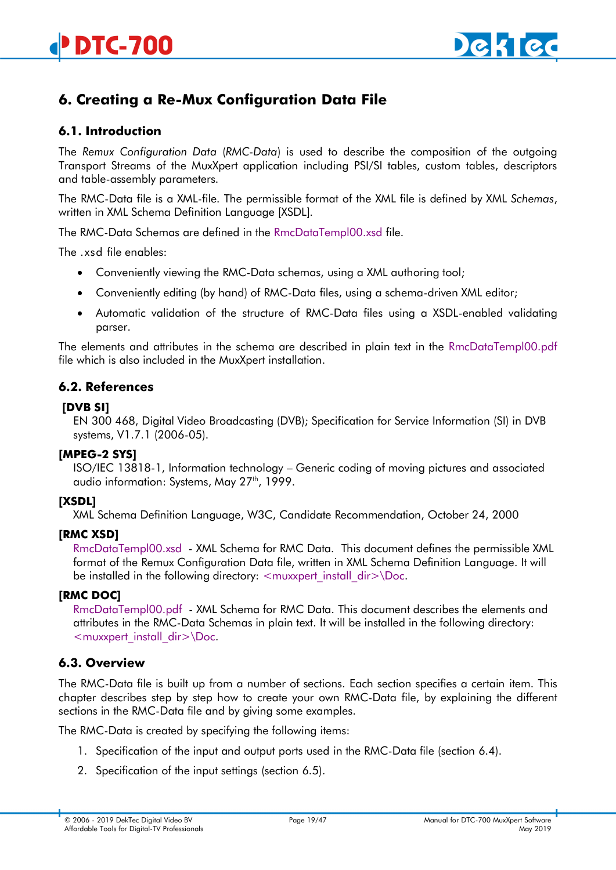# <span id="page-18-0"></span>**6. Creating a Re-Mux Configuration Data File**

# <span id="page-18-1"></span>**6.1. Introduction**

The *Remux Configuration Data* (*RMC-Data*) is used to describe the composition of the outgoing Transport Streams of the MuxXpert application including PSI/SI tables, custom tables, descriptors and table-assembly parameters.

The RMC-Data file is a XML-file. The permissible format of the XML file is defined by XML *Schemas*, written in XML Schema Definition Language [XSDL].

The RMC-Data Schemas are defined in the RmcDataTempl00.xsd file.

The .xsd file enables:

- Conveniently viewing the RMC-Data schemas, using a XML authoring tool;
- Conveniently editing (by hand) of RMC-Data files, using a schema-driven XML editor;
- Automatic validation of the structure of RMC-Data files using a XSDL-enabled validating parser.

The elements and attributes in the schema are described in plain text in the RmcDataTempl00.pdf file which is also included in the MuxXpert installation.

# <span id="page-18-2"></span>**6.2. References**

#### **[DVB SI]**

EN 300 468, Digital Video Broadcasting (DVB); Specification for Service Information (SI) in DVB systems, V1.7.1 (2006-05).

#### **[MPEG-2 SYS]**

ISO/IEC 13818-1, Information technology – Generic coding of moving pictures and associated audio information: Systems, May 27<sup>th</sup>, 1999.

#### **[XSDL]**

XML Schema Definition Language, W3C, Candidate Recommendation, October 24, 2000

#### **[RMC XSD]**

RmcDataTempl00.xsd - XML Schema for RMC Data. This document defines the permissible XML format of the Remux Configuration Data file, written in XML Schema Definition Language. It will be installed in the following directory:  $\leq$  muxxpert install dir $\geq$  Doc.

#### **[RMC DOC]**

RmcDataTempl00.pdf - XML Schema for RMC Data. This document describes the elements and attributes in the RMC-Data Schemas in plain text. It will be installed in the following directory: <muxxpert\_install\_dir>\Doc.

# <span id="page-18-3"></span>**6.3. Overview**

The RMC-Data file is built up from a number of sections. Each section specifies a certain item. This chapter describes step by step how to create your own RMC-Data file, by explaining the different sections in the RMC-Data file and by giving some examples.

The RMC-Data is created by specifying the following items:

- 1. Specification of the input and output ports used in the RMC-Data file (section [6.4\)](#page-19-0).
- 2. Specification of the input settings (section [6.5\)](#page-19-1).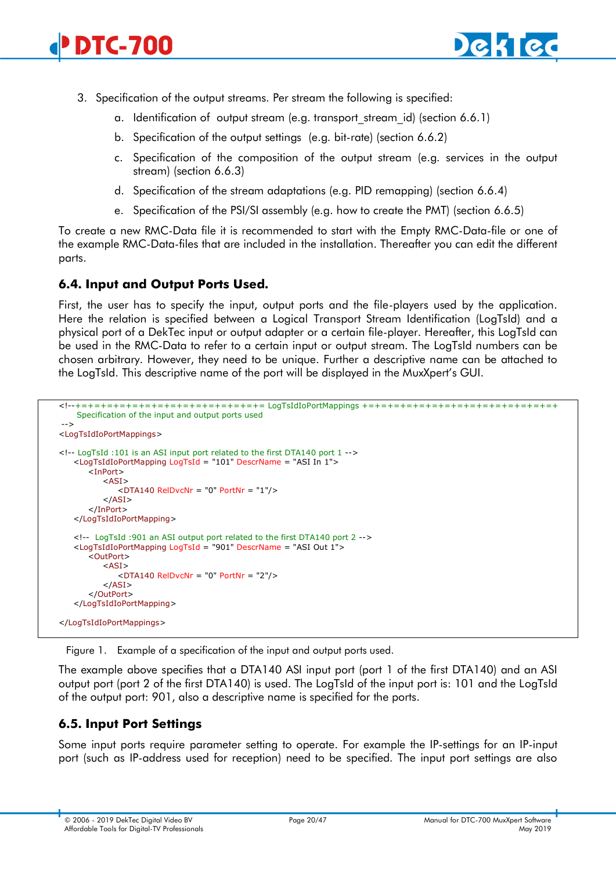

- 3. Specification of the output streams. Per stream the following is specified:
	- a. Identification of output stream (e.g. transport stream id) (section [6.6.1\)](#page-20-1)
	- b. Specification of the output settings (e.g. bit-rate) (section [6.6.2\)](#page-20-2)
	- c. Specification of the composition of the output stream (e.g. services in the output stream) (section [6.6.3\)](#page-21-0)
	- d. Specification of the stream adaptations (e.g. PID remapping) (section [6.6.4\)](#page-26-0)
	- e. Specification of the PSI/SI assembly (e.g. how to create the PMT) (section [6.6.5\)](#page-32-0)

To create a new RMC-Data file it is recommended to start with the Empty RMC-Data-file or one of the example RMC-Data-files that are included in the installation. Thereafter you can edit the different parts.

# <span id="page-19-0"></span>**6.4. Input and Output Ports Used.**

First, the user has to specify the input, output ports and the file-players used by the application. Here the relation is specified between a Logical Transport Stream Identification (LogTsId) and a physical port of a DekTec input or output adapter or a certain file-player. Hereafter, this LogTsId can be used in the RMC-Data to refer to a certain input or output stream. The LogTsId numbers can be chosen arbitrary. However, they need to be unique. Further a descriptive name can be attached to the LogTsId. This descriptive name of the port will be displayed in the MuxXpert's GUI.

```
<!--+=+=+=+=+=+=+=+=+=+=+=+=+=+=+= LogTsIdIoPortMappings +=+=+=+=+=+=+=+=+=+=+=+=+=+=+=+
    Specification of the input and output ports used
-->
<LogTsIdIoPortMappings>
<!-- LogTsId :101 is an ASI input port related to the first DTA140 port 1 -->
   <LogTsIdIoPortMapping LogTsId = "101" DescrName = "ASI In 1">
      <InPort>
         <ASI><DTA140 RelDvcNr = "0" PortNr = "1"/>
         </ASI></InPort>
   </LogTsIdIoPortMapping>
   <!-- LogTsId :901 an ASI output port related to the first DTA140 port 2 -->
   <LogTsIdIoPortMapping LogTsId = "901" DescrName = "ASI Out 1">
      <OutPort>
         <ASI><DTA140 RelDvcNr = "0" PortNr = "2"/>
          </ASI></OutPort>
   </LogTsIdIoPortMapping>
</LogTsIdIoPortMappings>
```
Figure 1. Example of a specification of the input and output ports used.

The example above specifies that a DTA140 ASI input port (port 1 of the first DTA140) and an ASI output port (port 2 of the first DTA140) is used. The LogTsId of the input port is: 101 and the LogTsId of the output port: 901, also a descriptive name is specified for the ports.

# <span id="page-19-1"></span>**6.5. Input Port Settings**

Some input ports require parameter setting to operate. For example the IP-settings for an IP-input port (such as IP-address used for reception) need to be specified. The input port settings are also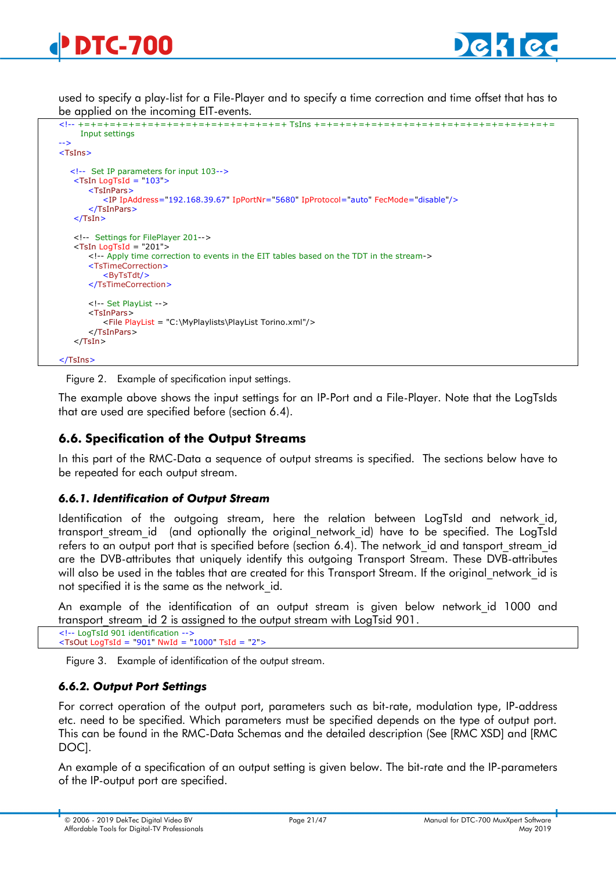used to specify a play-list for a File-Player and to specify a time correction and time offset that has to be applied on the incoming EIT-events.

```
<!-- +=+=+=+=+=+=+=+=+=+=+=+=+=+=+=+=+ TsIns +=+=+=+=+=+=+=+=+=+=+=+=+=+=+=+=+=+=+=
      Input settings
-->
<TsIns>
   <!-- Set IP parameters for input 103-->
   \leqTsIn LogTsId = "103">
        <TsInPars>
           <IP IpAddress="192.168.39.67" IpPortNr="5680" IpProtocol="auto" FecMode="disable"/>
        </TsInPars>
   \langle/TsIn\rangle <!-- Settings for FilePlayer 201-->
   <TsIn LogTsId = "201">
        <!-- Apply time correction to events in the EIT tables based on the TDT in the stream->
       <TsTimeCorrection>
           <ByTsTdt/>
        </TsTimeCorrection>
        <!-- Set PlayList -->
       <TsInPars>
          <File PlayList = "C:\MyPlaylists\PlayList Torino.xml"/>
       </TsInPars>
   </TsIn></TsIns>
```
Figure 2. Example of specification input settings.

The example above shows the input settings for an IP-Port and a File-Player. Note that the LogTsIds that are used are specified before (section [6.4\)](#page-19-0).

# <span id="page-20-0"></span>**6.6. Specification of the Output Streams**

In this part of the RMC-Data a sequence of output streams is specified. The sections below have to be repeated for each output stream.

#### <span id="page-20-1"></span>*6.6.1. Identification of Output Stream*

Identification of the outgoing stream, here the relation between LogTsId and network\_id, transport stream id (and optionally the original network id) have to be specified. The LogTsId refers to an output port that is specified before (section [6.4\)](#page-19-0). The network id and tansport stream id are the DVB-attributes that uniquely identify this outgoing Transport Stream. These DVB-attributes will also be used in the tables that are created for this Transport Stream. If the original network id is not specified it is the same as the network\_id.

An example of the identification of an output stream is given below network id 1000 and transport stream id 2 is assigned to the output stream with LogTsid 901.

<!-- LogTsId 901 identification --> <TsOut LogTsId = "901" NwId = "1000" TsId = "2">

Figure 3. Example of identification of the output stream.

# <span id="page-20-2"></span>*6.6.2. Output Port Settings*

For correct operation of the output port, parameters such as bit-rate, modulation type, IP-address etc. need to be specified. Which parameters must be specified depends on the type of output port. This can be found in the RMC-Data Schemas and the detailed description (See [RMC XSD] and [RMC DOC].

An example of a specification of an output setting is given below. The bit-rate and the IP-parameters of the IP-output port are specified.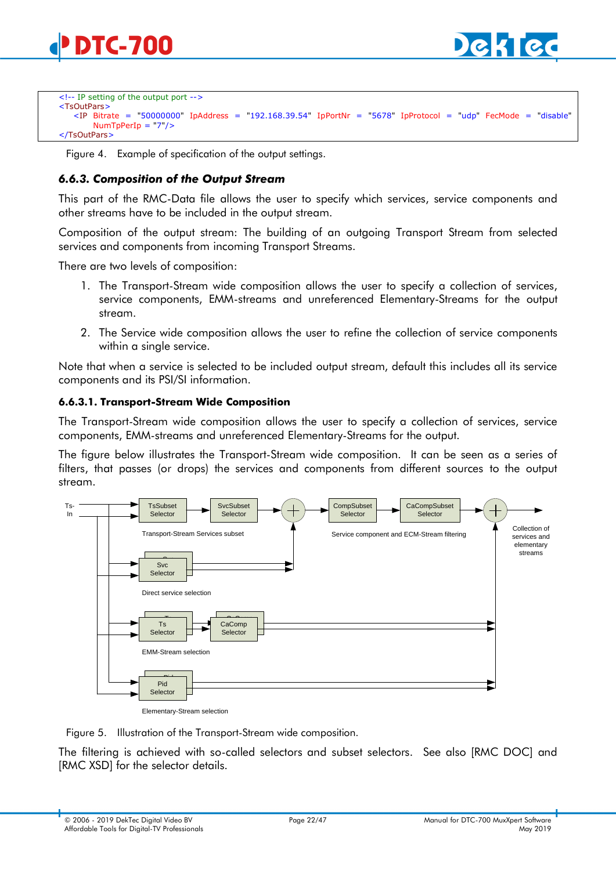

```
<!-- IP setting of the output port -->
<TsOutPars>
   <IP Bitrate = "50000000" IpAddress = "192.168.39.54" IpPortNr = "5678" IpProtocol = "udp" FecMode = "disable"
        NumTpPerIp = "7"/>
</TsOutPars>
```
Figure 4. Example of specification of the output settings.

### <span id="page-21-0"></span>*6.6.3. Composition of the Output Stream*

This part of the RMC-Data file allows the user to specify which services, service components and other streams have to be included in the output stream.

Composition of the output stream: The building of an outgoing Transport Stream from selected services and components from incoming Transport Streams.

There are two levels of composition:

- 1. The Transport-Stream wide composition allows the user to specify a collection of services, service components, EMM-streams and unreferenced Elementary-Streams for the output stream.
- 2. The Service wide composition allows the user to refine the collection of service components within a single service.

Note that when a service is selected to be included output stream, default this includes all its service components and its PSI/SI information.

#### **6.6.3.1. Transport-Stream Wide Composition**

The Transport-Stream wide composition allows the user to specify a collection of services, service components, EMM-streams and unreferenced Elementary-Streams for the output.

The figure below illustrates the Transport-Stream wide composition. It can be seen as a series of filters, that passes (or drops) the services and components from different sources to the output stream.



Elementary-Stream selection

Figure 5. Illustration of the Transport-Stream wide composition.

The filtering is achieved with so-called selectors and subset selectors. See also [RMC DOC] and [RMC XSD] for the selector details.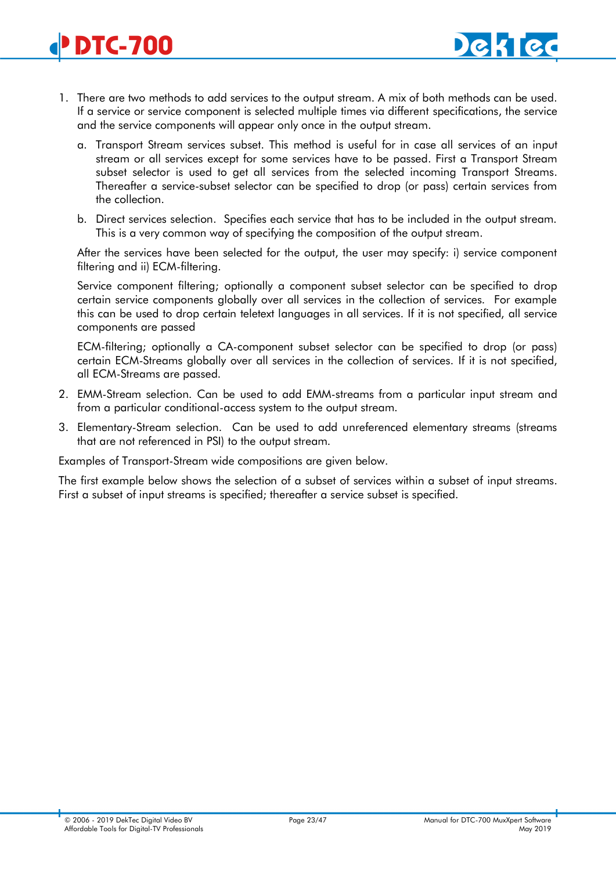- 1. There are two methods to add services to the output stream. A mix of both methods can be used. If a service or service component is selected multiple times via different specifications, the service and the service components will appear only once in the output stream.
	- a. Transport Stream services subset. This method is useful for in case all services of an input stream or all services except for some services have to be passed. First a Transport Stream subset selector is used to get all services from the selected incoming Transport Streams. Thereafter a service-subset selector can be specified to drop (or pass) certain services from the collection.
	- b. Direct services selection. Specifies each service that has to be included in the output stream. This is a very common way of specifying the composition of the output stream.

After the services have been selected for the output, the user may specify: i) service component filtering and ii) ECM-filtering.

Service component filtering; optionally a component subset selector can be specified to drop certain service components globally over all services in the collection of services. For example this can be used to drop certain teletext languages in all services. If it is not specified, all service components are passed

ECM-filtering; optionally a CA-component subset selector can be specified to drop (or pass) certain ECM-Streams globally over all services in the collection of services. If it is not specified, all ECM-Streams are passed.

- 2. EMM-Stream selection. Can be used to add EMM-streams from a particular input stream and from a particular conditional-access system to the output stream.
- 3. Elementary-Stream selection. Can be used to add unreferenced elementary streams (streams that are not referenced in PSI) to the output stream.

Examples of Transport-Stream wide compositions are given below.

The first example below shows the selection of a subset of services within a subset of input streams. First a subset of input streams is specified; thereafter a service subset is specified.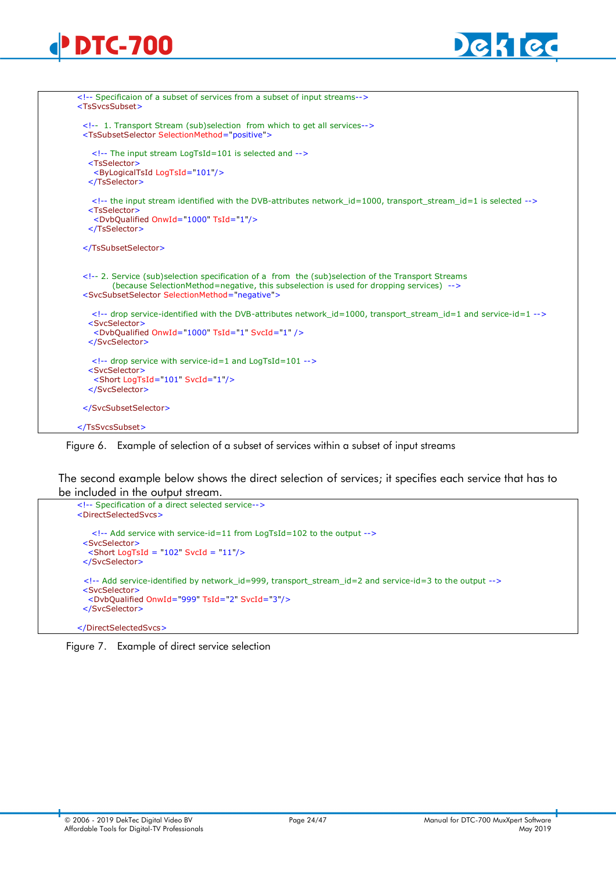



|                             | 1. Transport Stream (sub)selection from which to get all services                                                                                                                                           |
|-----------------------------|-------------------------------------------------------------------------------------------------------------------------------------------------------------------------------------------------------------|
|                             | <tssubsetselector selectionmethod="positive"></tssubsetselector>                                                                                                                                            |
|                             | The input stream LogTsId=101 is selected and                                                                                                                                                                |
| <tsselector></tsselector>   |                                                                                                                                                                                                             |
|                             | <bylogicaltsid logtsid="101"></bylogicaltsid>                                                                                                                                                               |
|                             |                                                                                                                                                                                                             |
|                             | the input stream identified with the DVB-attributes network id=1000, transport stream id=1 is selected                                                                                                      |
| <tsselector></tsselector>   |                                                                                                                                                                                                             |
|                             | <dvbqualified onwid="1000" tsid="1"></dvbqualified>                                                                                                                                                         |
|                             |                                                                                                                                                                                                             |
|                             |                                                                                                                                                                                                             |
|                             | 2. Service (sub)selection specification of a from the (sub)selection of the Transport Streams</td></tr><tr><td></td><td>(because SelectionMethod=negative, this subselection is used for dropping services) |
|                             | <svcsubsetselector selectionmethod="negative"></svcsubsetselector>                                                                                                                                          |
|                             |                                                                                                                                                                                                             |
|                             | drop service-identified with the DVB-attributes network <math>id=1000</math>, transport stream <math>id=1</math> and service-<math>id=1</math>                                                              |
| <svcselector></svcselector> |                                                                                                                                                                                                             |
|                             | <dvbqualified onwid="1000" svcid="1" tsid="1"></dvbqualified>                                                                                                                                               |
|                             |                                                                                                                                                                                                             |
|                             | drop service with service-id=1 and LogTsId=101                                                                                                                                                              |
| <svcselector></svcselector> |                                                                                                                                                                                                             |
|                             |                                                                                                                                                                                                             |
|                             |                                                                                                                                                                                                             |
|                             | <short logtsid="101" svcid="1"></short>                                                                                                                                                                     |
|                             |                                                                                                                                                                                                             |
|                             |                                                                                                                                                                                                             |

Figure 6. Example of selection of a subset of services within a subset of input streams

The second example below shows the direct selection of services; it specifies each service that has to be included in the output stream.



Figure 7. Example of direct service selection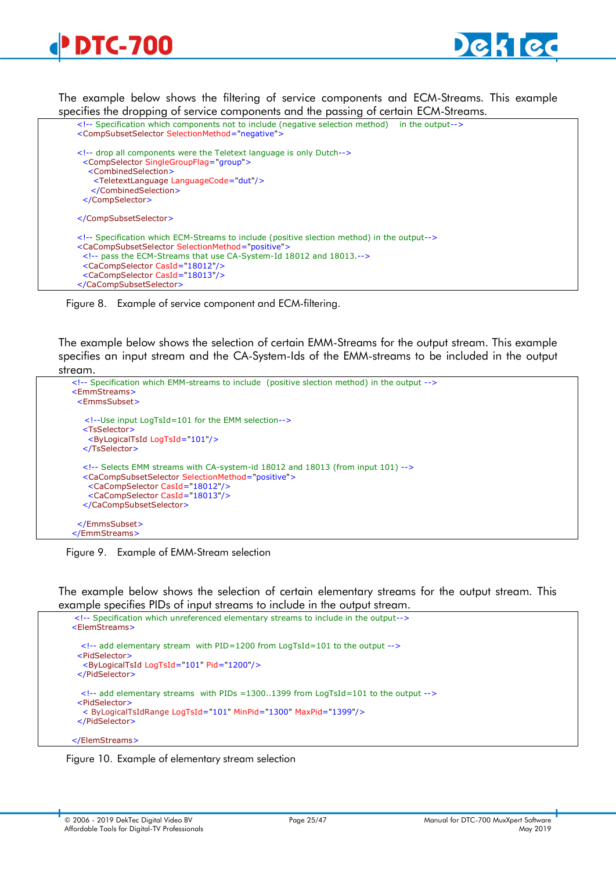<span id="page-24-0"></span>



The example below shows the filtering of service components and ECM-Streams. This example specifies the dropping of service components and the passing of certain ECM-Streams.

```
 <!-- Specification which components not to include (negative selection method) in the output-->
 <CompSubsetSelector SelectionMethod="negative">
 <!-- drop all components were the Teletext language is only Dutch-->
  <CompSelector SingleGroupFlag="group">
    <CombinedSelection>
     <TeletextLanguage LanguageCode="dut"/>
    </CombinedSelection>
  </CompSelector>
 </CompSubsetSelector>
 <!-- Specification which ECM-Streams to include (positive slection method) in the output-->
 <CaCompSubsetSelector SelectionMethod="positive">
  <!-- pass the ECM-Streams that use CA-System-Id 18012 and 18013.-->
  <CaCompSelector CasId="18012"/>
  <CaCompSelector CasId="18013"/>
 </CaCompSubsetSelector>
```
Figure 8. Example of service component and ECM-filtering.

The example below shows the selection of certain EMM-Streams for the output stream. This example specifies an input stream and the CA-System-Ids of the EMM-streams to be included in the output stream.

```
 <!-- Specification which EMM-streams to include (positive slection method) in the output -->
 <EmmStreams>
  <EmmsSubset>
    <!--Use input LogTsId=101 for the EMM selection-->
   <TsSelector>
    <ByLogicalTsId LogTsId="101"/>
   </TsSelector>
   <!-- Selects EMM streams with CA-system-id 18012 and 18013 (from input 101) -->
   <CaCompSubsetSelector SelectionMethod="positive">
    <CaCompSelector CasId="18012"/>
     <CaCompSelector CasId="18013"/>
   </CaCompSubsetSelector>
  </EmmsSubset>
 </EmmStreams>
```
Figure 9. Example of EMM-Stream selection

The example below shows the selection of certain elementary streams for the output stream. This example specifies PIDs of input streams to include in the output stream.

```
 <!-- Specification which unreferenced elementary streams to include in the output-->
 <ElemStreams>
   <!-- add elementary stream with PID=1200 from LogTsId=101 to the output -->
  <PidSelector>
   <ByLogicalTsId LogTsId="101" Pid="1200"/>
  </PidSelector>
   <!-- add elementary streams with PIDs =1300..1399 from LogTsId=101 to the output -->
  <PidSelector>
   < ByLogicalTsIdRange LogTsId="101" MinPid="1300" MaxPid="1399"/>
  </PidSelector>
 </ElemStreams>
```
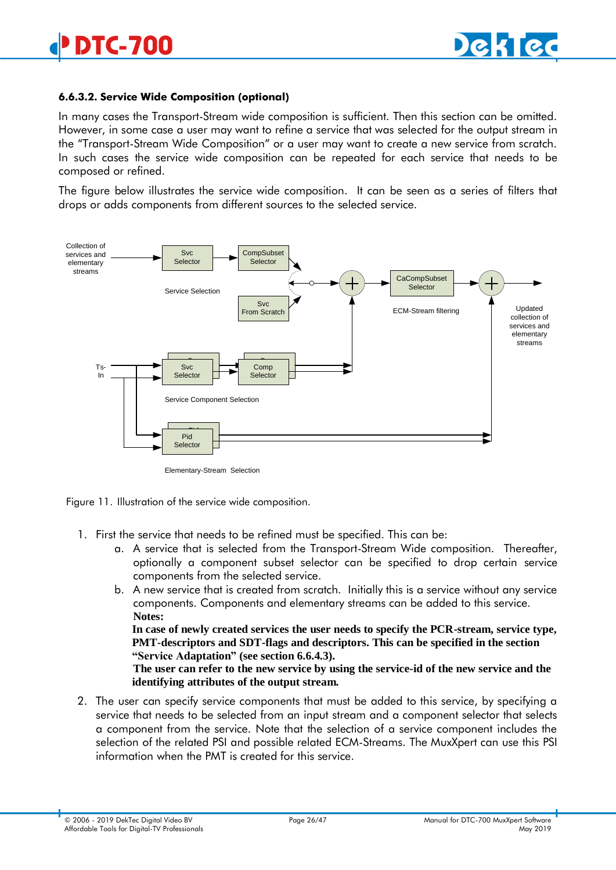#### **6.6.3.2. Service Wide Composition (optional)**

In many cases the Transport-Stream wide composition is sufficient. Then this section can be omitted. However, in some case a user may want to refine a service that was selected for the output stream in the "Transport-Stream Wide Composition" or a user may want to create a new service from scratch. In such cases the service wide composition can be repeated for each service that needs to be composed or refined.

The figure below illustrates the service wide composition. It can be seen as a series of filters that drops or adds components from different sources to the selected service.



Elementary-Stream Selection



- 1. First the service that needs to be refined must be specified. This can be:
	- a. A service that is selected from the Transport-Stream Wide composition. Thereafter, optionally a component subset selector can be specified to drop certain service components from the selected service.
	- b. A new service that is created from scratch. Initially this is a service without any service components. Components and elementary streams can be added to this service. **Notes:**

**In case of newly created services the user needs to specify the PCR-stream, service type, PMT-descriptors and SDT-flags and descriptors. This can be specified in the section "Service Adaptation" (see section [6.6.4.3\)](#page-30-0).**

**The user can refer to the new service by using the service-id of the new service and the identifying attributes of the output stream.**

2. The user can specify service components that must be added to this service, by specifying a service that needs to be selected from an input stream and a component selector that selects a component from the service. Note that the selection of a service component includes the selection of the related PSI and possible related ECM-Streams. The MuxXpert can use this PSI information when the PMT is created for this service.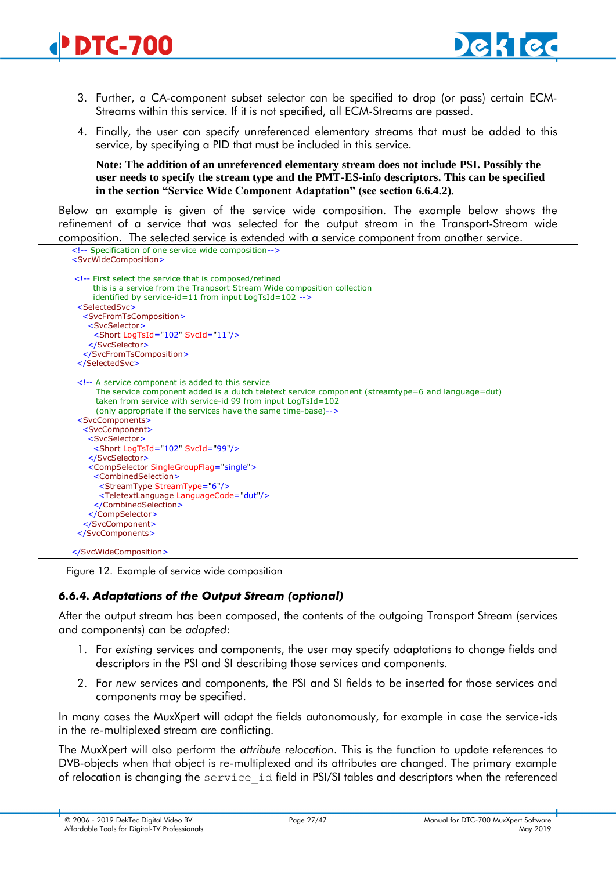- 3. Further, a CA-component subset selector can be specified to drop (or pass) certain ECM-Streams within this service. If it is not specified, all ECM-Streams are passed.
- 4. Finally, the user can specify unreferenced elementary streams that must be added to this service, by specifying a PID that must be included in this service.

**Note: The addition of an unreferenced elementary stream does not include PSI. Possibly the user needs to specify the stream type and the PMT-ES-info descriptors. This can be specified in the section "Service Wide Component Adaptation" (see section [6.6.4.2\)](#page-29-0).**

Below an example is given of the service wide composition. The example below shows the refinement of a service that was selected for the output stream in the Transport-Stream wide composition. The selected service is extended with a service component from another service.



Figure 12. Example of service wide composition

# <span id="page-26-0"></span>*6.6.4. Adaptations of the Output Stream (optional)*

After the output stream has been composed, the contents of the outgoing Transport Stream (services and components) can be *adapted*:

- 1. For *existing* services and components, the user may specify adaptations to change fields and descriptors in the PSI and SI describing those services and components.
- 2. For *new* services and components, the PSI and SI fields to be inserted for those services and components may be specified.

In many cases the MuxXpert will adapt the fields autonomously, for example in case the service-ids in the re-multiplexed stream are conflicting.

The MuxXpert will also perform the *attribute relocation*. This is the function to update references to DVB-objects when that object is re-multiplexed and its attributes are changed. The primary example of relocation is changing the service\_id field in PSI/SI tables and descriptors when the referenced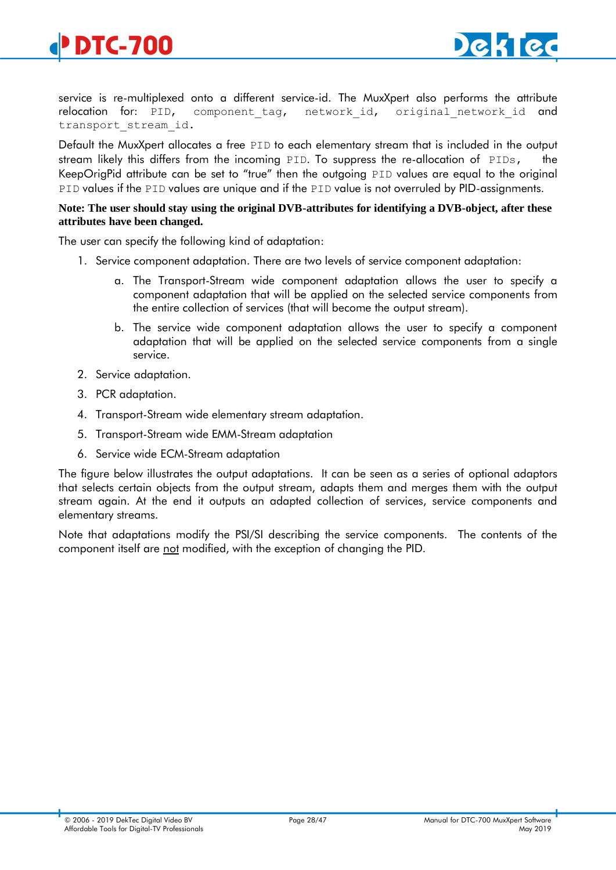

service is re-multiplexed onto a different service-id. The MuxXpert also performs the attribute relocation for: PID, component tag, network id, original network id and transport\_stream\_id.

Default the MuxXpert allocates a free PID to each elementary stream that is included in the output stream likely this differs from the incoming  $PID$ . To suppress the re-allocation of  $PIDs$ , KeepOrigPid attribute can be set to "true" then the outgoing PID values are equal to the original PID values if the PID values are unique and if the PID value is not overruled by PID-assignments.

#### **Note: The user should stay using the original DVB-attributes for identifying a DVB-object, after these attributes have been changed.**

The user can specify the following kind of adaptation:

- 1. Service component adaptation. There are two levels of service component adaptation:
	- a. The Transport-Stream wide component adaptation allows the user to specify a component adaptation that will be applied on the selected service components from the entire collection of services (that will become the output stream).
	- b. The service wide component adaptation allows the user to specify a component adaptation that will be applied on the selected service components from a single service.
- 2. Service adaptation.
- 3. PCR adaptation.
- 4. Transport-Stream wide elementary stream adaptation.
- 5. Transport-Stream wide EMM-Stream adaptation
- 6. Service wide ECM-Stream adaptation

The figure below illustrates the output adaptations. It can be seen as a series of optional adaptors that selects certain objects from the output stream, adapts them and merges them with the output stream again. At the end it outputs an adapted collection of services, service components and elementary streams.

Note that adaptations modify the PSI/SI describing the service components. The contents of the component itself are not modified, with the exception of changing the PID.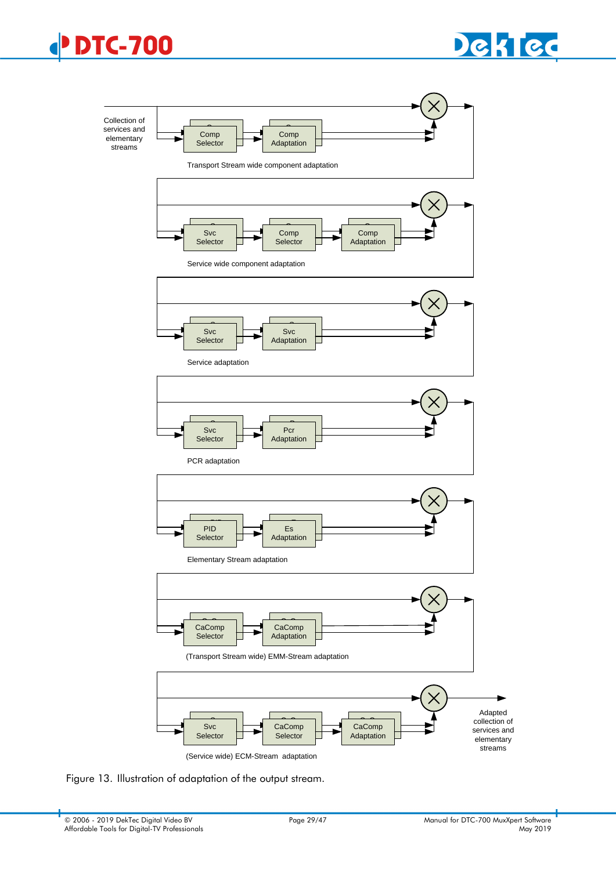





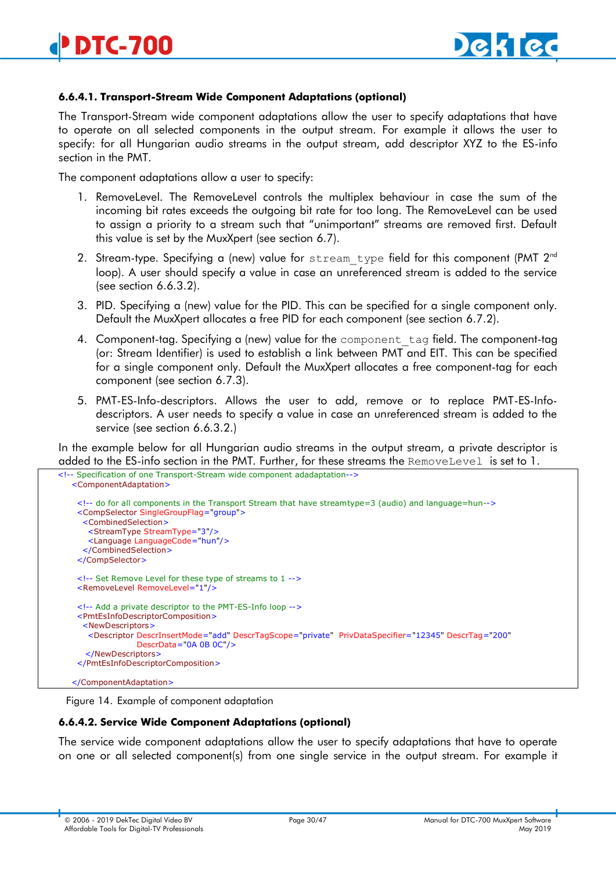

#### **6.6.4.1. Transport-Stream Wide Component Adaptations (optional)**

The Transport-Stream wide component adaptations allow the user to specify adaptations that have to operate on all selected components in the output stream. For example it allows the user to specify: for all Hungarian audio streams in the output stream, add descriptor XYZ to the ES-info section in the PMT.

The component adaptations allow a user to specify:

- 1. RemoveLevel. The RemoveLevel controls the multiplex behaviour in case the sum of the incoming bit rates exceeds the outgoing bit rate for too long. The RemoveLevel can be used to assign a priority to a stream such that "unimportant" streams are removed first. Default this value is set by the MuxXpert (see section [6.7\)](#page-41-0).
- 2. Stream-type. Specifying a (new) value for stream type field for this component (PMT  $2^{nd}$ loop). A user should specify a value in case an unreferenced stream is added to the service (see section [6.6.3.2\)](#page-24-0).
- 3. PID. Specifying a (new) value for the PID. This can be specified for a single component only. Default the MuxXpert allocates a free PID for each component (see section [6.7.2\)](#page-42-2).
- 4. Component-tag. Specifying a (new) value for the component\_tag field. The component-tag (or: Stream Identifier) is used to establish a link between PMT and EIT. This can be specified for a single component only. Default the MuxXpert allocates a free component-tag for each component (see section [6.7.3\)](#page-43-0).
- 5. PMT-ES-Info-descriptors. Allows the user to add, remove or to replace PMT-ES-Infodescriptors. A user needs to specify a value in case an unreferenced stream is added to the service (see section [6.6.3.2.](#page-24-0))

In the example below for all Hungarian audio streams in the output stream, a private descriptor is added to the ES-info section in the PMT. Further, for these streams the RemoveLevel is set to 1.

```
 <!-- Specification of one Transport-Stream wide component adadaptation-->
    <ComponentAdaptation>
     <!-- do for all components in the Transport Stream that have streamtype=3 (audio) and language=hun-->
     <CompSelector SingleGroupFlag="group">
      <CombinedSelection>
        <StreamType StreamType="3"/>
        <Language LanguageCode="hun"/>
      </CombinedSelection>
     </CompSelector>
     <!-- Set Remove Level for these type of streams to 1 -->
     <RemoveLevel RemoveLevel="1"/>
     <!-- Add a private descriptor to the PMT-ES-Info loop -->
     <PmtEsInfoDescriptorComposition>
      <NewDescriptors>
        <Descriptor DescrInsertMode="add" DescrTagScope="private" PrivDataSpecifier="12345" DescrTag="200"
                   DescrData="0A 0B 0C"/>
       </NewDescriptors>
     </PmtEsInfoDescriptorComposition>
    </ComponentAdaptation>
```
Figure 14. Example of component adaptation

#### <span id="page-29-0"></span>**6.6.4.2. Service Wide Component Adaptations (optional)**

The service wide component adaptations allow the user to specify adaptations that have to operate on one or all selected component(s) from one single service in the output stream. For example it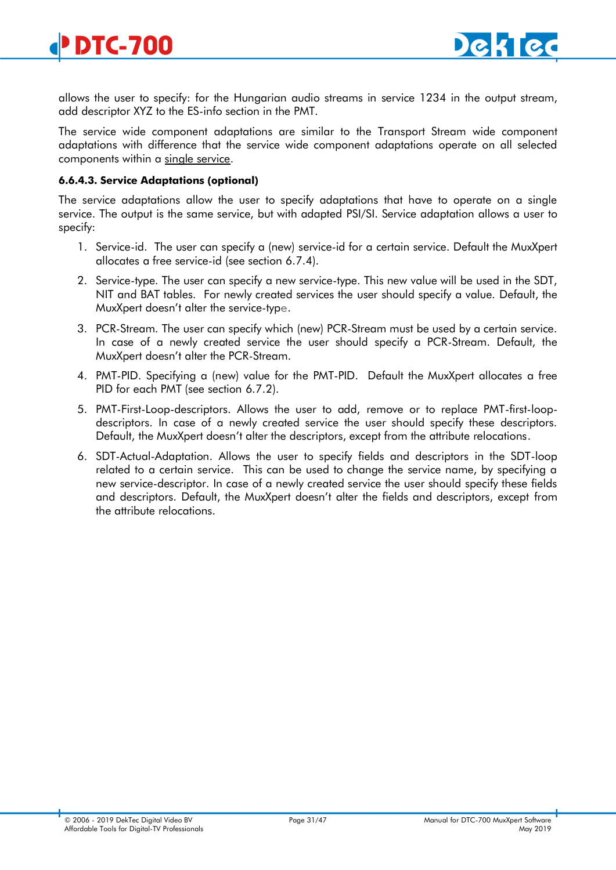

allows the user to specify: for the Hungarian audio streams in service 1234 in the output stream, add descriptor XYZ to the ES-info section in the PMT.

The service wide component adaptations are similar to the Transport Stream wide component adaptations with difference that the service wide component adaptations operate on all selected components within a single service.

#### <span id="page-30-0"></span>**6.6.4.3. Service Adaptations (optional)**

The service adaptations allow the user to specify adaptations that have to operate on a single service. The output is the same service, but with adapted PSI/SI. Service adaptation allows a user to specify:

- 1. Service-id. The user can specify a (new) service-id for a certain service. Default the MuxXpert allocates a free service-id (see section [6.7.4\)](#page-43-1).
- 2. Service-type. The user can specify a new service-type. This new value will be used in the SDT, NIT and BAT tables. For newly created services the user should specify a value. Default, the MuxXpert doesn't alter the service-type.
- 3. PCR-Stream. The user can specify which (new) PCR-Stream must be used by a certain service. In case of a newly created service the user should specify a PCR-Stream. Default, the MuxXpert doesn't alter the PCR-Stream.
- 4. PMT-PID. Specifying a (new) value for the PMT-PID. Default the MuxXpert allocates a free PID for each PMT (see section [6.7.2\)](#page-42-2).
- 5. PMT-First-Loop-descriptors. Allows the user to add, remove or to replace PMT-first-loopdescriptors. In case of a newly created service the user should specify these descriptors. Default, the MuxXpert doesn't alter the descriptors, except from the attribute relocations.
- 6. SDT-Actual-Adaptation. Allows the user to specify fields and descriptors in the SDT-loop related to a certain service. This can be used to change the service name, by specifying a new service-descriptor. In case of a newly created service the user should specify these fields and descriptors. Default, the MuxXpert doesn't alter the fields and descriptors, except from the attribute relocations.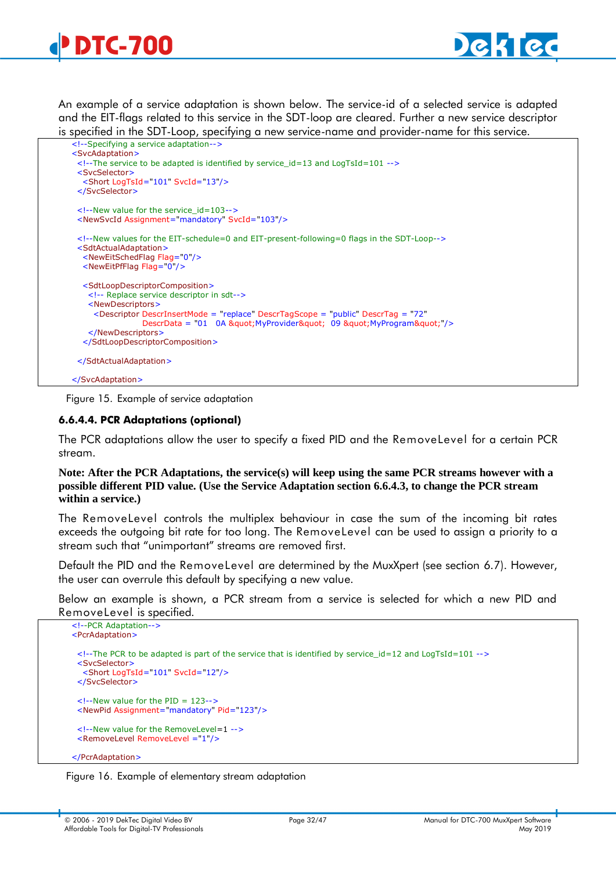

<span id="page-31-0"></span>An example of a service adaptation is shown below. The service-id of a selected service is adapted and the EIT-flags related to this service in the SDT-loop are cleared. Further a new service descriptor is specified in the SDT-Loop, specifying a new service-name and provider-name for this service.



Figure 15. Example of service adaptation

#### **6.6.4.4. PCR Adaptations (optional)**

The PCR adaptations allow the user to specify a fixed PID and the RemoveLevel for a certain PCR stream.

**Note: After the PCR Adaptations, the service(s) will keep using the same PCR streams however with a possible different PID value. (Use the Service Adaptation section [6.6.4.3,](#page-30-0) to change the PCR stream within a service.)**

The RemoveLevel controls the multiplex behaviour in case the sum of the incoming bit rates exceeds the outgoing bit rate for too long. The RemoveLevel can be used to assign a priority to a stream such that "unimportant" streams are removed first.

Default the PID and the RemoveLevel are determined by the MuxXpert (see section [6.7\)](#page-41-0). However, the user can overrule this default by specifying a new value.

Below an example is shown, a PCR stream from a service is selected for which a new PID and RemoveLevel is specified.

```
 <!--PCR Adaptation-->
 <PcrAdaptation>
  <!--The PCR to be adapted is part of the service that is identified by service_id=12 and LogTsId=101 -->
  <SvcSelector>
   <Short LogTsId="101" SvcId="12"/>
  </SvcSelector>
 \langle --New value for the PID = 123-->
  <NewPid Assignment="mandatory" Pid="123"/>
  <!--New value for the RemoveLevel=1 -->
  <RemoveLevel RemoveLevel ="1"/>
 </PcrAdaptation>
```
Figure 16. Example of elementary stream adaptation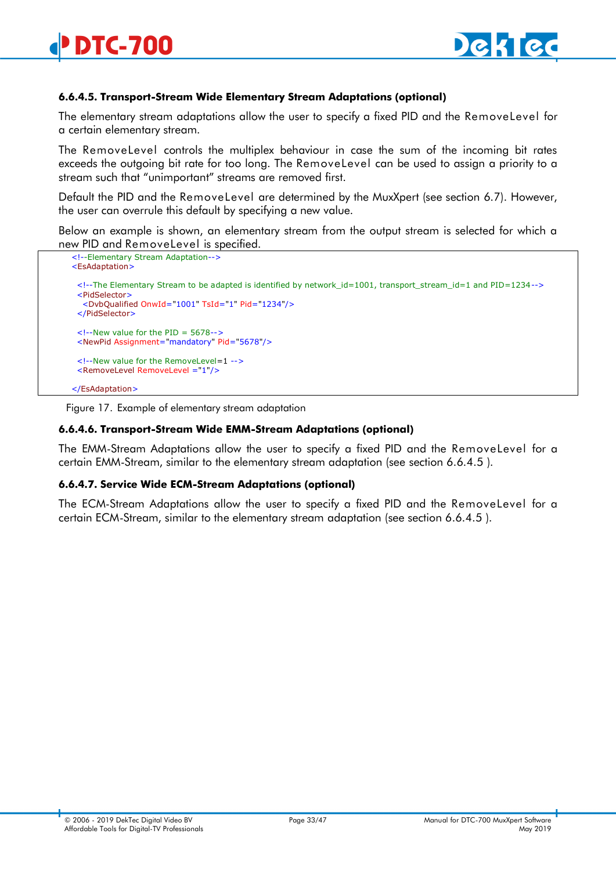#### **6.6.4.5. Transport-Stream Wide Elementary Stream Adaptations (optional)**

The elementary stream adaptations allow the user to specify a fixed PID and the RemoveLevel for a certain elementary stream.

The RemoveLevel controls the multiplex behaviour in case the sum of the incoming bit rates exceeds the outgoing bit rate for too long. The RemoveLevel can be used to assign a priority to a stream such that "unimportant" streams are removed first.

Default the PID and the RemoveLevel are determined by the MuxXpert (see section [6.7\)](#page-41-0). However, the user can overrule this default by specifying a new value.

Below an example is shown, an elementary stream from the output stream is selected for which a new PID and RemoveLevel is specified.

```
 <!--Elementary Stream Adaptation-->
 <EsAdaptation>
  <!--The Elementary Stream to be adapted is identified by network_id=1001, transport_stream_id=1 and PID=1234-->
  <PidSelector>
   <DvbQualified OnwId="1001" TsId="1" Pid="1234"/>
  </PidSelector>
  <!--New value for the PID = 5678-->
  <NewPid Assignment="mandatory" Pid="5678"/>
 \leq --New value for the RemoveLevel=1 -->
  <RemoveLevel RemoveLevel ="1"/>
 </EsAdaptation>
```
Figure 17. Example of elementary stream adaptation

#### **6.6.4.6. Transport-Stream Wide EMM-Stream Adaptations (optional)**

The EMM-Stream Adaptations allow the user to specify a fixed PID and the RemoveLevel for a certain EMM-Stream, similar to the elementary stream adaptation (see section [6.6.4.5](#page-31-0) ).

#### **6.6.4.7. Service Wide ECM-Stream Adaptations (optional)**

<span id="page-32-0"></span>The ECM-Stream Adaptations allow the user to specify a fixed PID and the RemoveLevel for a certain ECM-Stream, similar to the elementary stream adaptation (see section [6.6.4.5](#page-31-0) ).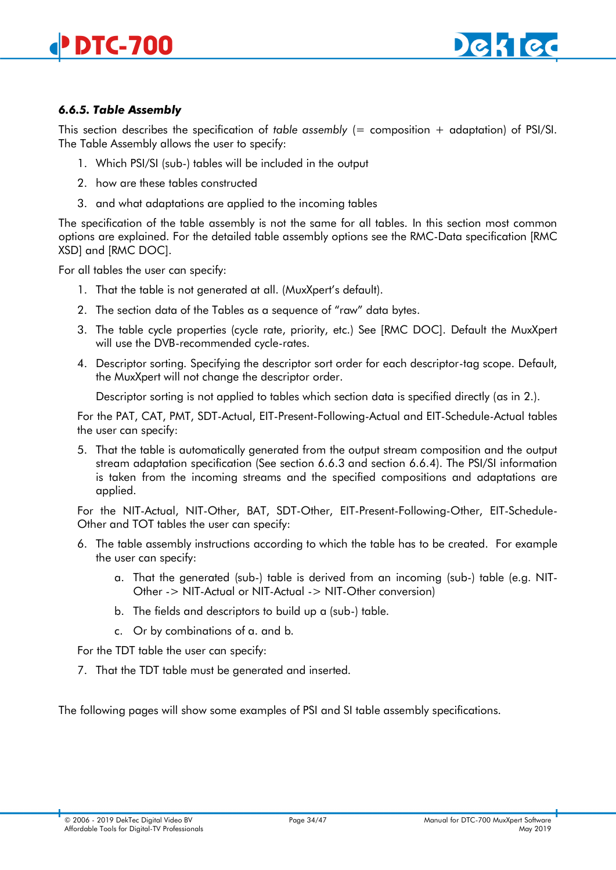

# <span id="page-33-0"></span>*6.6.5. Table Assembly*

This section describes the specification of *table assembly* (= composition + adaptation) of PSI/SI. The Table Assembly allows the user to specify:

- 1. Which PSI/SI (sub-) tables will be included in the output
- 2. how are these tables constructed
- 3. and what adaptations are applied to the incoming tables

The specification of the table assembly is not the same for all tables. In this section most common options are explained. For the detailed table assembly options see the RMC-Data specification [RMC XSD] and [RMC DOC].

For all tables the user can specify:

- 1. That the table is not generated at all. (MuxXpert's default).
- 2. The section data of the Tables as a sequence of "raw" data bytes.
- 3. The table cycle properties (cycle rate, priority, etc.) See [RMC DOC]. Default the MuxXpert will use the DVB-recommended cycle-rates.
- 4. Descriptor sorting. Specifying the descriptor sort order for each descriptor-tag scope. Default, the MuxXpert will not change the descriptor order.

Descriptor sorting is not applied to tables which section data is specified directly (as in 2.).

For the PAT, CAT, PMT, SDT-Actual, EIT-Present-Following-Actual and EIT-Schedule-Actual tables the user can specify:

5. That the table is automatically generated from the output stream composition and the output stream adaptation specification (See section [6.6.3](#page-21-0) and section [6.6.4\)](#page-26-0). The PSI/SI information is taken from the incoming streams and the specified compositions and adaptations are applied.

For the NIT-Actual, NIT-Other, BAT, SDT-Other, EIT-Present-Following-Other, EIT-Schedule-Other and TOT tables the user can specify:

- 6. The table assembly instructions according to which the table has to be created. For example the user can specify:
	- a. That the generated (sub-) table is derived from an incoming (sub-) table (e.g. NIT-Other -> NIT-Actual or NIT-Actual -> NIT-Other conversion)
	- b. The fields and descriptors to build up a (sub-) table.
	- c. Or by combinations of a. and b.

For the TDT table the user can specify:

7. That the TDT table must be generated and inserted.

The following pages will show some examples of PSI and SI table assembly specifications.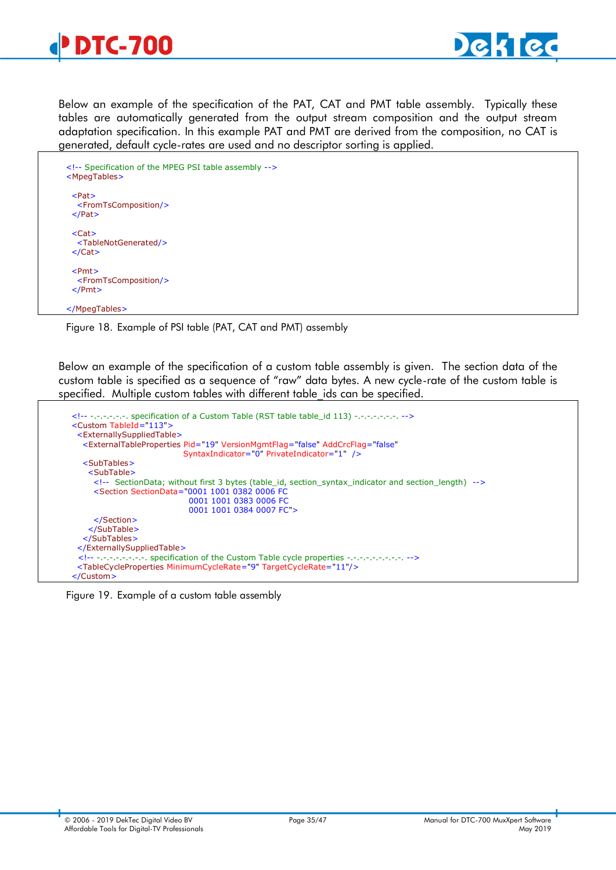

Below an example of the specification of the PAT, CAT and PMT table assembly. Typically these tables are automatically generated from the output stream composition and the output stream adaptation specification. In this example PAT and PMT are derived from the composition, no CAT is generated, default cycle-rates are used and no descriptor sorting is applied.

```
 <!-- Specification of the MPEG PSI table assembly -->
 <MpegTables>
  <Pat>
   <FromTsComposition/>
  </Pat>
  <Cat>
   <TableNotGenerated/>
 </Cat> <Pmt>
   <FromTsComposition/>
  </Pmt>
 </MpegTables>
```
Figure 18. Example of PSI table (PAT, CAT and PMT) assembly

Below an example of the specification of a custom table assembly is given. The section data of the custom table is specified as a sequence of "raw" data bytes. A new cycle-rate of the custom table is specified. Multiple custom tables with different table ids can be specified.

```
 <!-- -.-.-.-.-.-. specification of a Custom Table (RST table table_id 113) -.-.-.-.-.-.-. -->
 <Custom TableId="113">
  <ExternallySuppliedTable>
   <ExternalTableProperties Pid="19" VersionMgmtFlag="false" AddCrcFlag="false"
                            SyntaxIndicator="0" PrivateIndicator="1" />
   <SubTables>
     <SubTable>
      <!-- SectionData; without first 3 bytes (table_id, section_syntax_indicator and section_length) -->
      <Section SectionData="0001 1001 0382 0006 FC
                              0001 1001 0383 0006 FC
                             0001 1001 0384 0007 FC">
      </Section>
     </SubTable>
   </SubTables>
  </ExternallySuppliedTable>
  <!-- -.-.-.-.-.-.-.-. specification of the Custom Table cycle properties -.-.-.-.-.-.-.-.-. -->
  <TableCycleProperties MinimumCycleRate="9" TargetCycleRate="11"/>
 </Custom>
```
Figure 19. Example of a custom table assembly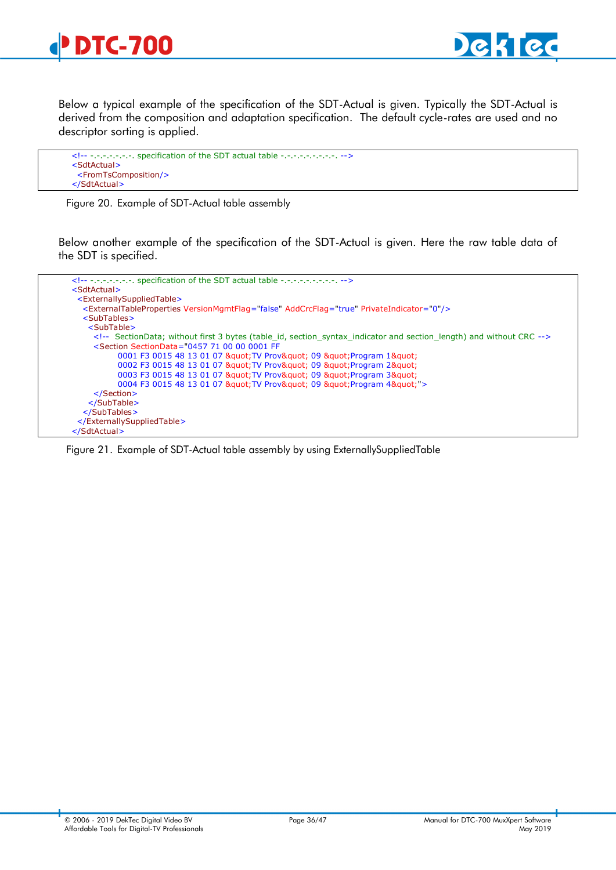

Below a typical example of the specification of the SDT-Actual is given. Typically the SDT-Actual is derived from the composition and adaptation specification. The default cycle-rates are used and no descriptor sorting is applied.

```
<!-- -.-.-.-.-. specification of the SDT actual table -.-.-.-.-.-.-.-. -->
<SdtActual>
  <FromTsComposition/>
 </SdtActual>
```
Figure 20. Example of SDT-Actual table assembly

Below another example of the specification of the SDT-Actual is given. Here the raw table data of the SDT is specified.



Figure 21. Example of SDT-Actual table assembly by using ExternallySuppliedTable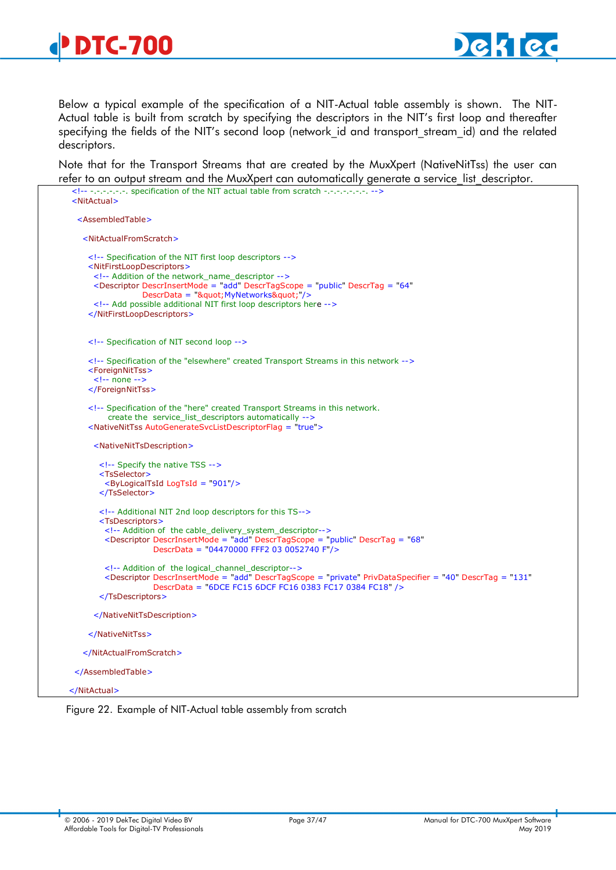

Below a typical example of the specification of a NIT-Actual table assembly is shown. The NIT-Actual table is built from scratch by specifying the descriptors in the NIT's first loop and thereafter specifying the fields of the NIT's second loop (network id and transport stream id) and the related descriptors.

Note that for the Transport Streams that are created by the MuxXpert (NativeNitTss) the user can refer to an output stream and the MuxXpert can automatically generate a service list descriptor.

```
 <!-- -.-.-.-.-.-. specification of the NIT actual table from scratch -.-.-.-.-.-.-. -->
 <NitActual>
   <AssembledTable>
    <NitActualFromScratch>
     <!-- Specification of the NIT first loop descriptors -->
     <NitFirstLoopDescriptors>
       <!-- Addition of the network_name_descriptor -->
       <Descriptor DescrInsertMode = "add" DescrTagScope = "public" DescrTag = "64"
                  DescrData = "" MyNetworks " "/>
       <!-- Add possible additional NIT first loop descriptors here -->
     </NitFirstLoopDescriptors>
     <!-- Specification of NIT second loop -->
     <!-- Specification of the "elsewhere" created Transport Streams in this network -->
     <ForeignNitTss>
       <!-- none -->
     </ForeignNitTss>
     <!-- Specification of the "here" created Transport Streams in this network.
         create the service list descriptors automatically -->
     <NativeNitTss AutoGenerateSvcListDescriptorFlag = "true">
       <NativeNitTsDescription>
        <!-- Specify the native TSS -->
        <TsSelector>
          <ByLogicalTsId LogTsId = "901"/>
        </TsSelector>
        <!-- Additional NIT 2nd loop descriptors for this TS-->
        <TsDescriptors>
         <!-- Addition of the cable_delivery_system_descriptor-->
         <Descriptor DescrInsertMode = "add" DescrTagScope = "public" DescrTag = "68"
                      DescrData = "04470000 FFF2 03 0052740 F"/>
          <!-- Addition of the logical_channel_descriptor-->
         <Descriptor DescrInsertMode = "add" DescrTagScope = "private" PrivDataSpecifier = "40" DescrTag = "131"
                      DescrData = "6DCE FC15 6DCF FC16 0383 FC17 0384 FC18" />
        </TsDescriptors>
       </NativeNitTsDescription>
     </NativeNitTss>
    </NitActualFromScratch>
  </AssembledTable>
 </NitActual>
```
Figure 22. Example of NIT-Actual table assembly from scratch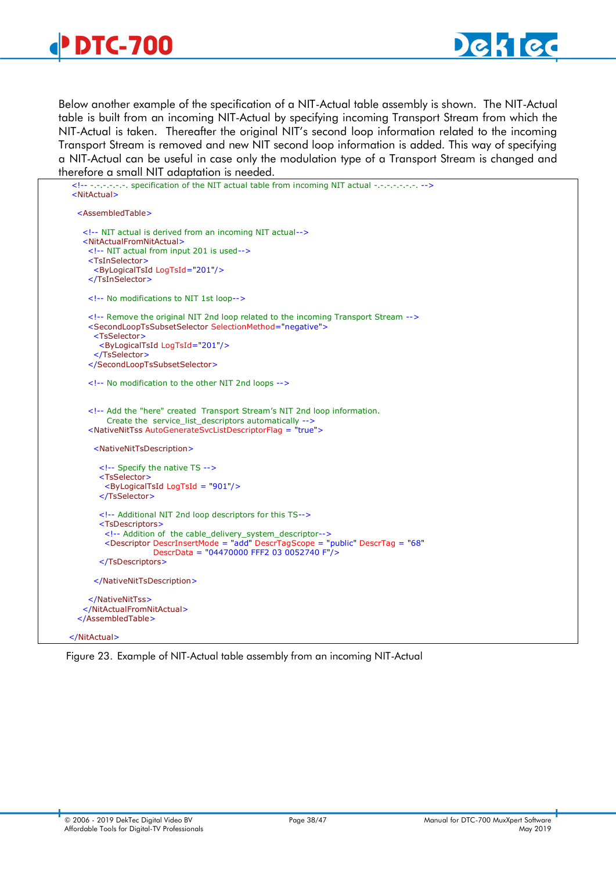

Below another example of the specification of a NIT-Actual table assembly is shown. The NIT-Actual table is built from an incoming NIT-Actual by specifying incoming Transport Stream from which the NIT-Actual is taken. Thereafter the original NIT's second loop information related to the incoming Transport Stream is removed and new NIT second loop information is added. This way of specifying a NIT-Actual can be useful in case only the modulation type of a Transport Stream is changed and therefore a small NIT adaptation is needed.

| -.-.-.-.-. specification of the NIT actual table from incoming NIT actual -.-.-.-.-.-.-.<br><nitactual></nitactual>                      |
|------------------------------------------------------------------------------------------------------------------------------------------|
| <assembledtable></assembledtable>                                                                                                        |
| NIT actual is derived from an incoming NIT actual                                                                                        |
| <nitactualfromnitactual></nitactualfromnitactual>                                                                                        |
| NIT actual from input 201 is used                                                                                                        |
| <tsinselector></tsinselector>                                                                                                            |
| <bylogicaltsid logtsid="201"></bylogicaltsid>                                                                                            |
|                                                                                                                                          |
| No modifications to NIT 1st loop                                                                                                         |
| Remove the original NIT 2nd loop related to the incoming Transport Stream                                                                |
| <secondlooptssubsetselector selectionmethod="negative"></secondlooptssubsetselector>                                                     |
| <tsselector></tsselector>                                                                                                                |
| <bylogicaltsid logtsid="201"></bylogicaltsid>                                                                                            |
|                                                                                                                                          |
|                                                                                                                                          |
| No modification to the other NIT 2nd loops                                                                                               |
| Add the "here" created Transport Stream's NIT 2nd loop information.</td></tr><tr><td>Create the service_list_descriptors automatically   |
| <nativenittss autogeneratesvclistdescriptorflag="true"></nativenittss>                                                                   |
|                                                                                                                                          |
| <nativenittsdescription></nativenittsdescription>                                                                                        |
| Specify the native TS                                                                                                                    |
| <tsselector></tsselector>                                                                                                                |
| <bylogicaltsid logtsid="901"></bylogicaltsid>                                                                                            |
|                                                                                                                                          |
| Additional NIT 2nd loop descriptors for this TS                                                                                          |
| <tsdescriptors></tsdescriptors>                                                                                                          |
| Addition of the cable delivery system descriptor                                                                                         |
| <descriptor <br="" descrinsertmode="add" descrtag="68" descrtagscope="public">DescrData = "04470000 FFF2 03 0052740 F"/&gt;</descriptor> |
|                                                                                                                                          |
|                                                                                                                                          |
|                                                                                                                                          |
|                                                                                                                                          |
|                                                                                                                                          |

Figure 23. Example of NIT-Actual table assembly from an incoming NIT-Actual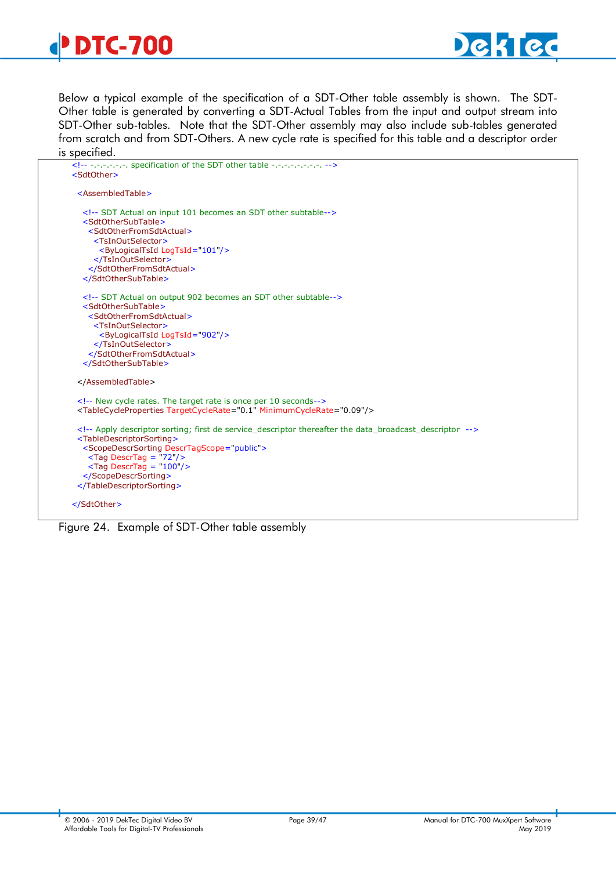

Below a typical example of the specification of a SDT-Other table assembly is shown. The SDT-Other table is generated by converting a SDT-Actual Tables from the input and output stream into SDT-Other sub-tables. Note that the SDT-Other assembly may also include sub-tables generated from scratch and from SDT-Others. A new cycle rate is specified for this table and a descriptor order is specified.

| <assembledtable></assembledtable>                                                              |
|------------------------------------------------------------------------------------------------|
| SDT Actual on input 101 becomes an SDT other subtable                                          |
| <sdtothersubtable></sdtothersubtable>                                                          |
| <sdtotherfromsdtactual></sdtotherfromsdtactual>                                                |
| <tsinoutselector></tsinoutselector>                                                            |
| <bylogicaltsid logtsid="101"></bylogicaltsid>                                                  |
|                                                                                                |
|                                                                                                |
|                                                                                                |
| SDT Actual on output 902 becomes an SDT other subtable                                         |
| <sdtothersubtable></sdtothersubtable>                                                          |
| <sdtotherfromsdtactual></sdtotherfromsdtactual>                                                |
| <tsinoutselector></tsinoutselector>                                                            |
| <bylogicaltsid logtsid="902"></bylogicaltsid>                                                  |
|                                                                                                |
|                                                                                                |
|                                                                                                |
|                                                                                                |
| New cycle rates. The target rate is once per 10 seconds                                        |
| <tablecycleproperties minimumcyclerate="0.09" targetcyclerate="0.1"></tablecycleproperties>    |
| Apply descriptor sorting; first de service_descriptor thereafter the data_broadcast_descriptor |
| <tabledescriptorsorting></tabledescriptorsorting>                                              |
| <scopedescrsorting descrtagscope="public"></scopedescrsorting>                                 |
| $\langle$ Tag DescrTag = "72"/>                                                                |
| $\langle$ Tag DescrTag = "100"/>                                                               |
|                                                                                                |
|                                                                                                |

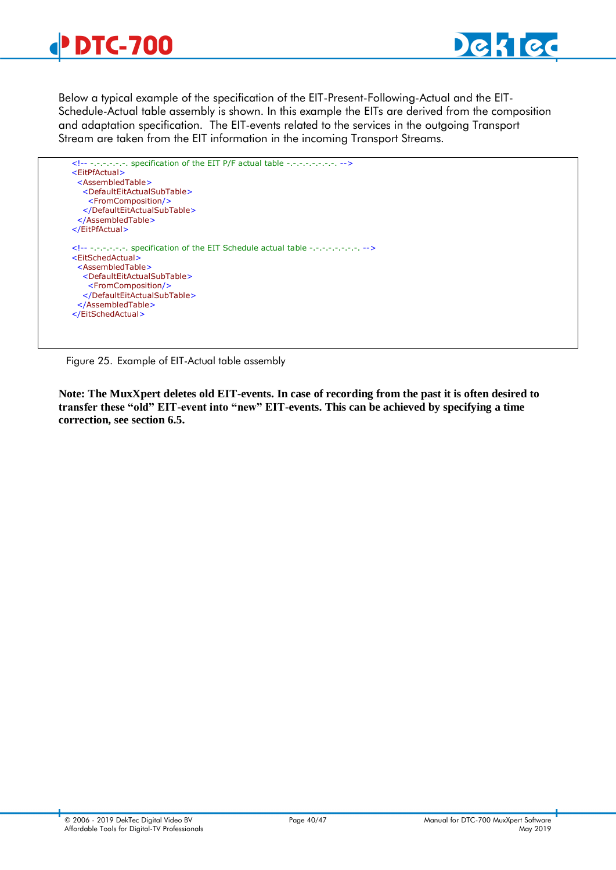



Below a typical example of the specification of the EIT-Present-Following-Actual and the EIT-Schedule-Actual table assembly is shown. In this example the EITs are derived from the composition and adaptation specification. The EIT-events related to the services in the outgoing Transport Stream are taken from the EIT information in the incoming Transport Streams.



Figure 25. Example of EIT-Actual table assembly

**Note: The MuxXpert deletes old EIT-events. In case of recording from the past it is often desired to transfer these "old" EIT-event into "new" EIT-events. This can be achieved by specifying a time correction, see section [6.5.](#page-19-1)**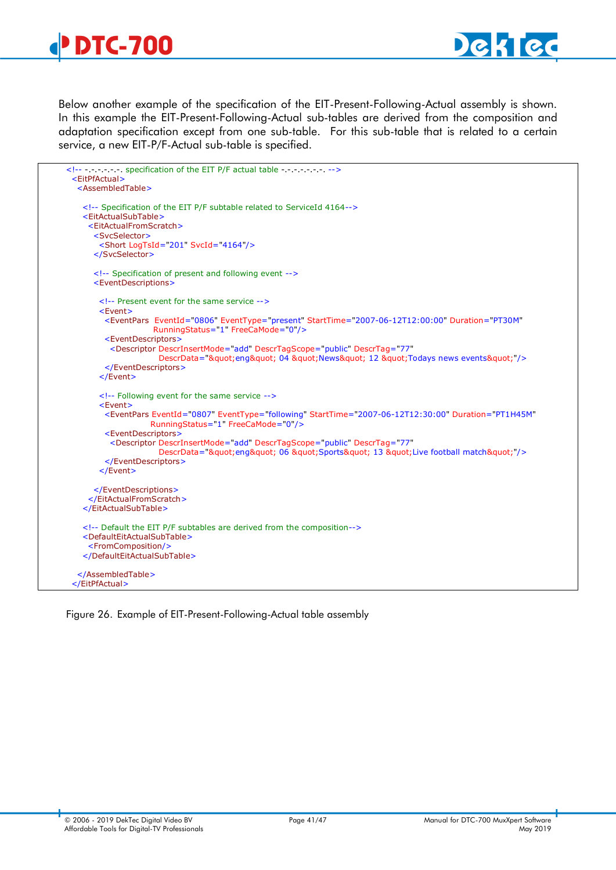



Below another example of the specification of the EIT-Present-Following-Actual assembly is shown. In this example the EIT-Present-Following-Actual sub-tables are derived from the composition and adaptation specification except from one sub-table. For this sub-table that is related to a certain service, a new EIT-P/F-Actual sub-table is specified.

| - - - - - - - specification of the EIT P/F actual table - - - - - - - - - -><br><EitPfActual></th><th></th></tr><tr><td><AssembledTable></td><td></td></tr><tr><td><!-- Specification of the EIT P/F subtable related to ServiceId 4164 <td></td> |  |
|---------------------------------------------------------------------------------------------------------------------------------------------------------------------------------------------------------------------------------------------------|--|
| <eitactualsubtable></eitactualsubtable>                                                                                                                                                                                                           |  |
| <eitactualfromscratch></eitactualfromscratch>                                                                                                                                                                                                     |  |
| <svcselector></svcselector>                                                                                                                                                                                                                       |  |
| <short logtsid="201" svcid="4164"></short>                                                                                                                                                                                                        |  |
|                                                                                                                                                                                                                                                   |  |
| Specification of present and following event                                                                                                                                                                                                      |  |
| <eventdescriptions></eventdescriptions>                                                                                                                                                                                                           |  |
| $\lt!$ !-- Present event for the same service -->                                                                                                                                                                                                 |  |
| $<$ Event $>$                                                                                                                                                                                                                                     |  |
| <eventpars <br="" duration="PT30M" eventid="0806" eventtype="present" starttime="2007-06-12T12:00:00">RunningStatus="1" FreeCaMode="0"/&gt;</eventpars>                                                                                           |  |
| <eventdescriptors></eventdescriptors>                                                                                                                                                                                                             |  |
| <descriptor <br="" descrinsertmode="add" descrtag="77" descrtagscope="public">DescrData=""eng" 04 "News" 12 "Todays news events""/&gt;</descriptor>                                                                                               |  |
|                                                                                                                                                                                                                                                   |  |
| $<$ /Event $>$                                                                                                                                                                                                                                    |  |
|                                                                                                                                                                                                                                                   |  |
| Following event for the same service                                                                                                                                                                                                              |  |
| <event></event>                                                                                                                                                                                                                                   |  |
| <eventpars <br="" duration="PT1H45M" eventid="0807" eventtype="following" starttime="2007-06-12T12:30:00">RunningStatus="1" FreeCaMode="0"/&gt;</eventpars>                                                                                       |  |
| <eventdescriptors></eventdescriptors>                                                                                                                                                                                                             |  |
| <descriptor <="" descrinsertmode="add" descrtag="77" descrtagscope="public" td=""><td></td></descriptor>                                                                                                                                          |  |
| DescrData=""enq" 06 "Sports" 13 "Live football match""/>                                                                                                                                                                                          |  |
|                                                                                                                                                                                                                                                   |  |
| $<$ /Event>                                                                                                                                                                                                                                       |  |
|                                                                                                                                                                                                                                                   |  |
|                                                                                                                                                                                                                                                   |  |
|                                                                                                                                                                                                                                                   |  |
| Default the EIT P/F subtables are derived from the composition                                                                                                                                                                                    |  |
| <defaulteitactualsubtable></defaulteitactualsubtable>                                                                                                                                                                                             |  |
| <fromcomposition></fromcomposition>                                                                                                                                                                                                               |  |
|                                                                                                                                                                                                                                                   |  |
|                                                                                                                                                                                                                                                   |  |
|                                                                                                                                                                                                                                                   |  |
|                                                                                                                                                                                                                                                   |  |

Figure 26. Example of EIT-Present-Following-Actual table assembly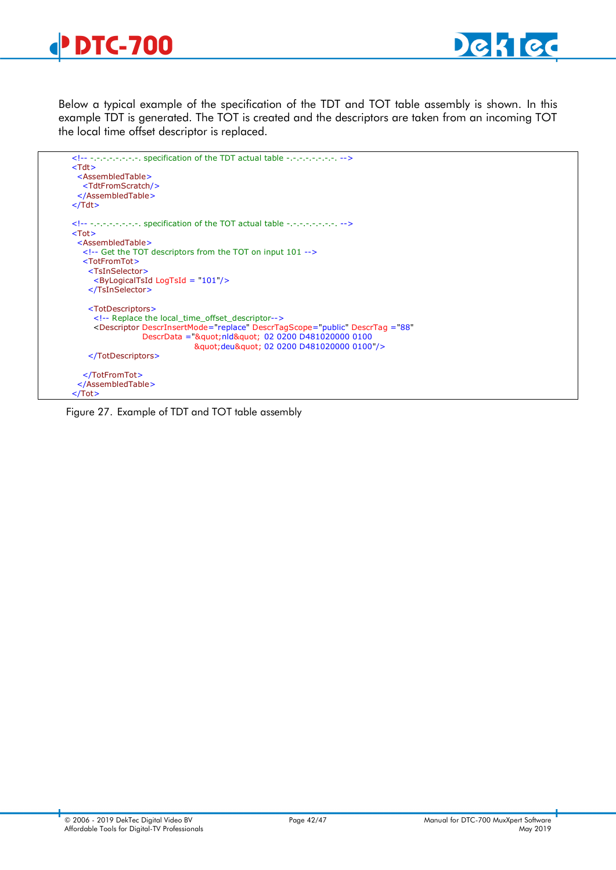



Below a typical example of the specification of the TDT and TOT table assembly is shown. In this example TDT is generated. The TOT is created and the descriptors are taken from an incoming TOT the local time offset descriptor is replaced.

```
 <!-- -.-.-.-.-.-.-.-. specification of the TDT actual table -.-.-.-.-.-.-.-. -->
 <Tdt>
  <AssembledTable>
   <TdtFromScratch/>
  </AssembledTable>
 </Tdt>
 <!-- -.-.-.-.-.-.-.-. specification of the TOT actual table -.-.-.-.-.-.-.-. -->
 <Tot>
  <AssembledTable>
   <!-- Get the TOT descriptors from the TOT on input 101 -->
   <TotFromTot>
     <TsInSelector>
      <ByLogicalTsId LogTsId = "101"/>
     </TsInSelector>
     <TotDescriptors>
      <!-- Replace the local_time_offset_descriptor-->
      <Descriptor DescrInsertMode="replace" DescrTagScope="public" DescrTag ="88"
                 DescrData =""nld" 02 0200 D481020000 0100
                              "deu" 02 0200 D481020000 0100"/>
     </TotDescriptors>
   </TotFromTot>
  </AssembledTable>
 </Tot>
```
<span id="page-41-0"></span>Figure 27. Example of TDT and TOT table assembly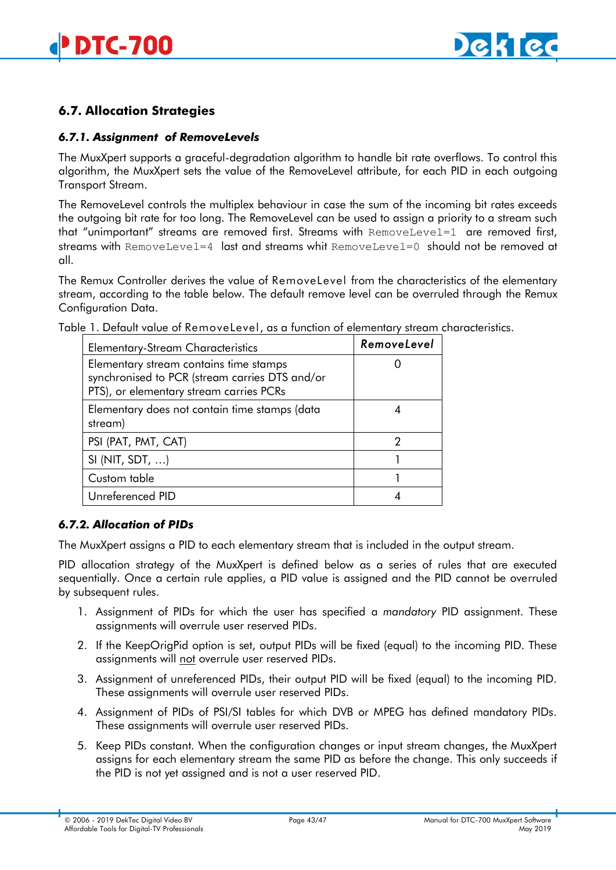

# <span id="page-42-0"></span>**6.7. Allocation Strategies**

#### <span id="page-42-1"></span>*6.7.1. Assignment of RemoveLevels*

The MuxXpert supports a graceful-degradation algorithm to handle bit rate overflows. To control this algorithm, the MuxXpert sets the value of the RemoveLevel attribute, for each PID in each outgoing Transport Stream.

The RemoveLevel controls the multiplex behaviour in case the sum of the incoming bit rates exceeds the outgoing bit rate for too long. The RemoveLevel can be used to assign a priority to a stream such that "unimportant" streams are removed first. Streams with RemoveLevel=1 are removed first, streams with RemoveLevel=4 last and streams whit RemoveLevel=0 should not be removed at all.

The Remux Controller derives the value of RemoveLevel from the characteristics of the elementary stream, according to the table below. The default remove level can be overruled through the Remux Configuration Data.

| <b>Elementary-Stream Characteristics</b>                                                                                            | RemoveLevel |
|-------------------------------------------------------------------------------------------------------------------------------------|-------------|
| Elementary stream contains time stamps<br>synchronised to PCR (stream carries DTS and/or<br>PTS), or elementary stream carries PCRs |             |
| Elementary does not contain time stamps (data<br>stream)                                                                            |             |
| PSI (PAT, PMT, CAT)                                                                                                                 | 2           |
| SI (NIT, SDT, $\dots$ )                                                                                                             |             |
| Custom table                                                                                                                        |             |
| Unreferenced PID                                                                                                                    |             |

Table 1. Default value of RemoveLevel, as a function of elementary stream characteristics.

#### <span id="page-42-2"></span>*6.7.2. Allocation of PIDs*

The MuxXpert assigns a PID to each elementary stream that is included in the output stream.

PID allocation strategy of the MuxXpert is defined below as a series of rules that are executed sequentially. Once a certain rule applies, a PID value is assigned and the PID cannot be overruled by subsequent rules.

- 1. Assignment of PIDs for which the user has specified a *mandatory* PID assignment. These assignments will overrule user reserved PIDs.
- 2. If the KeepOrigPid option is set, output PIDs will be fixed (equal) to the incoming PID. These assignments will not overrule user reserved PIDs.
- 3. Assignment of unreferenced PIDs, their output PID will be fixed (equal) to the incoming PID. These assignments will overrule user reserved PIDs.
- 4. Assignment of PIDs of PSI/SI tables for which DVB or MPEG has defined mandatory PIDs. These assignments will overrule user reserved PIDs.
- 5. Keep PIDs constant. When the configuration changes or input stream changes, the MuxXpert assigns for each elementary stream the same PID as before the change. This only succeeds if the PID is not yet assigned and is not a user reserved PID.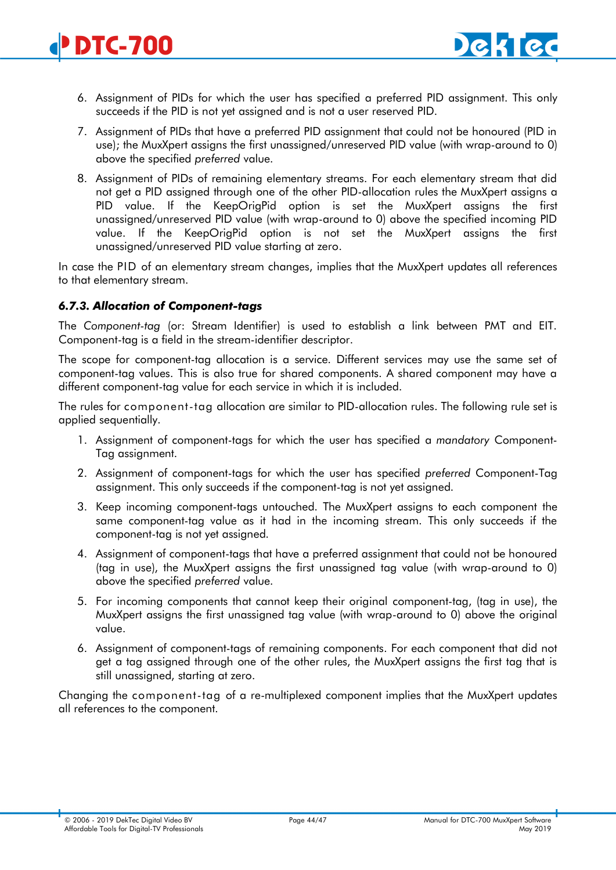- <span id="page-43-1"></span>6. Assignment of PIDs for which the user has specified a preferred PID assignment. This only succeeds if the PID is not yet assigned and is not a user reserved PID.
- 7. Assignment of PIDs that have a preferred PID assignment that could not be honoured (PID in use); the MuxXpert assigns the first unassigned/unreserved PID value (with wrap-around to 0) above the specified *preferred* value.
- 8. Assignment of PIDs of remaining elementary streams. For each elementary stream that did not get a PID assigned through one of the other PID-allocation rules the MuxXpert assigns a PID value. If the KeepOrigPid option is set the MuxXpert assigns the first unassigned/unreserved PID value (with wrap-around to 0) above the specified incoming PID value. If the KeepOrigPid option is not set the MuxXpert assigns the first unassigned/unreserved PID value starting at zero.

In case the PID of an elementary stream changes, implies that the MuxXpert updates all references to that elementary stream.

# <span id="page-43-0"></span>*6.7.3. Allocation of Component-tags*

The *Component-tag* (or: Stream Identifier) is used to establish a link between PMT and EIT. Component-tag is a field in the stream-identifier descriptor.

The scope for component-tag allocation is a service. Different services may use the same set of component-tag values. This is also true for shared components. A shared component may have a different component-tag value for each service in which it is included.

The rules for component-tag allocation are similar to PID-allocation rules. The following rule set is applied sequentially.

- 1. Assignment of component-tags for which the user has specified a *mandatory* Component-Tag assignment.
- 2. Assignment of component-tags for which the user has specified *preferred* Component-Tag assignment. This only succeeds if the component-tag is not yet assigned.
- 3. Keep incoming component-tags untouched. The MuxXpert assigns to each component the same component-tag value as it had in the incoming stream. This only succeeds if the component-tag is not yet assigned.
- 4. Assignment of component-tags that have a preferred assignment that could not be honoured (tag in use), the MuxXpert assigns the first unassigned tag value (with wrap-around to 0) above the specified *preferred* value.
- 5. For incoming components that cannot keep their original component-tag, (tag in use), the MuxXpert assigns the first unassigned tag value (with wrap-around to 0) above the original value.
- 6. Assignment of component-tags of remaining components. For each component that did not get a tag assigned through one of the other rules, the MuxXpert assigns the first tag that is still unassigned, starting at zero.

Changing the component-tag of a re-multiplexed component implies that the MuxXpert updates all references to the component.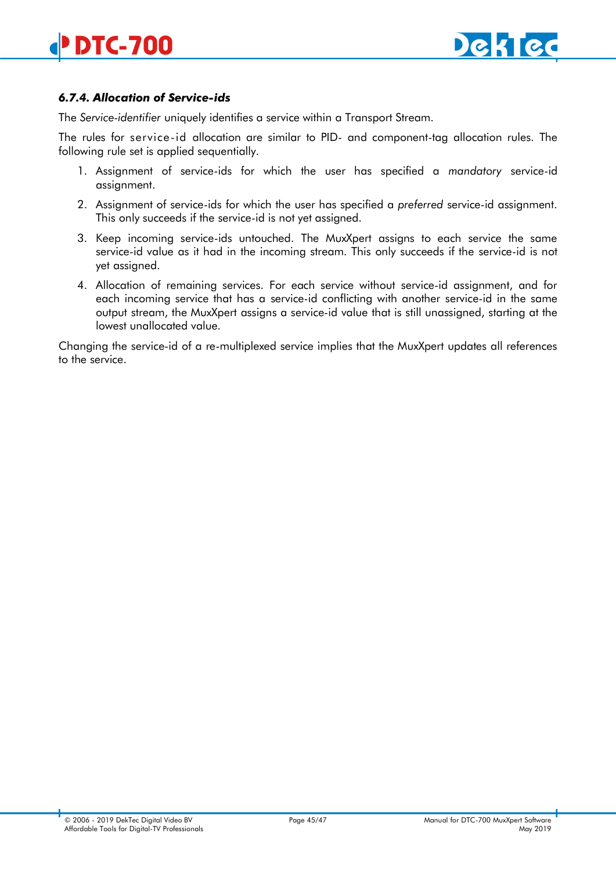

# *6.7.4. Allocation of Service-ids*

The *Service-identifier* uniquely identifies a service within a Transport Stream.

The rules for service-id allocation are similar to PID- and component-tag allocation rules. The following rule set is applied sequentially.

- 1. Assignment of service-ids for which the user has specified a *mandatory* service-id assignment.
- 2. Assignment of service-ids for which the user has specified a *preferred* service-id assignment. This only succeeds if the service-id is not yet assigned.
- 3. Keep incoming service-ids untouched. The MuxXpert assigns to each service the same service-id value as it had in the incoming stream. This only succeeds if the service-id is not yet assigned.
- 4. Allocation of remaining services. For each service without service-id assignment, and for each incoming service that has a service-id conflicting with another service-id in the same output stream, the MuxXpert assigns a service-id value that is still unassigned, starting at the lowest unallocated value.

Changing the service-id of a re-multiplexed service implies that the MuxXpert updates all references to the service.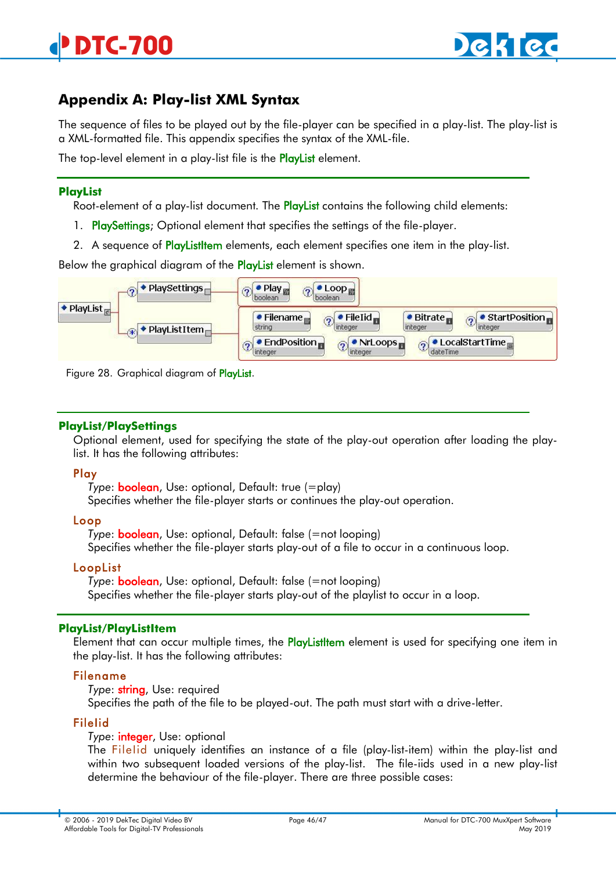# <span id="page-45-0"></span>**Appendix A: Play-list XML Syntax**

The sequence of files to be played out by the file-player can be specified in a play-list. The play-list is a XML-formatted file. This appendix specifies the syntax of the XML-file.

The top-level element in a play-list file is the **PlayList** element.

#### **PlayList**

Root-element of a play-list document. The PlayList contains the following child elements:

- 1. PlaySettings: Optional element that specifies the settings of the file-player.
- 2. A sequence of PlayListltem elements, each element specifies one item in the play-list.

Below the graphical diagram of the **PlayList** element is shown.



Figure 28. Graphical diagram of PlayList.

# **PlayList/PlaySettings**

Optional element, used for specifying the state of the play-out operation after loading the playlist. It has the following attributes:

# Play

*Type*: boolean, Use: optional, Default: true (=play) Specifies whether the file-player starts or continues the play-out operation.

# Loop

*Type*: boolean, Use: optional, Default: false (=not looping) Specifies whether the file-player starts play-out of a file to occur in a continuous loop.

#### LoopList

*Type*: boolean, Use: optional, Default: false (=not looping) Specifies whether the file-player starts play-out of the playlist to occur in a loop.

#### **PlayList/PlayListItem**

Element that can occur multiple times, the **PlayListItem** element is used for specifying one item in the play-list. It has the following attributes:

# Filename

*Type*: string, Use: required

Specifies the path of the file to be played-out. The path must start with a drive-letter.

#### FileIid

*Type*: integer, Use: optional

The Filelid uniquely identifies an instance of a file (play-list-item) within the play-list and within two subsequent loaded versions of the play-list. The file-iids used in a new play-list determine the behaviour of the file-player. There are three possible cases: